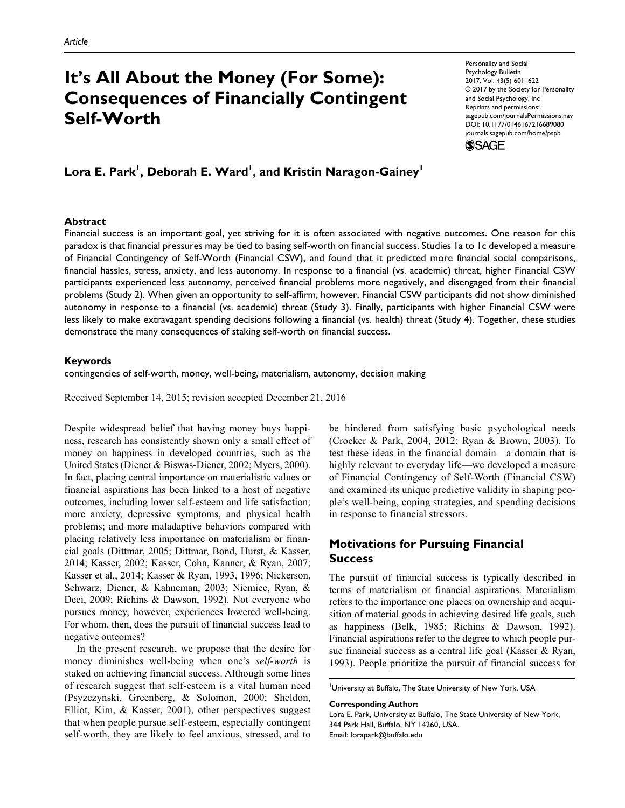# **It's All About the Money (For Some): Consequences of Financially Contingent Self-Worth**

Personality and Social Psychology Bulletin 2017, Vol. 43(5) 601–622 © 2017 by the Society for Personality and Social Psychology, Inc Reprints and permissions: [sagepub.com/journalsPermissions.nav](https://us.sagepub.com/en-us/journals-permissions) https://doi.org/10.1177/0146167216689080 DOI: 10.1177/0146167216689080 [journals.sagepub.com/home/pspb](https://journals.sagepub.com/home/pspb) **SSAGE** 

 $\mathsf{Lora}\ \mathsf{E.\}$  Park $^{\mathsf{I}},$  Deborah E. Ward $^{\mathsf{I}},$  and Kristin Naragon-Gainey $^{\mathsf{I}}$ 

#### **Abstract**

Financial success is an important goal, yet striving for it is often associated with negative outcomes. One reason for this paradox is that financial pressures may be tied to basing self-worth on financial success. Studies 1a to 1c developed a measure of Financial Contingency of Self-Worth (Financial CSW), and found that it predicted more financial social comparisons, financial hassles, stress, anxiety, and less autonomy. In response to a financial (vs. academic) threat, higher Financial CSW participants experienced less autonomy, perceived financial problems more negatively, and disengaged from their financial problems (Study 2). When given an opportunity to self-affirm, however, Financial CSW participants did not show diminished autonomy in response to a financial (vs. academic) threat (Study 3). Finally, participants with higher Financial CSW were less likely to make extravagant spending decisions following a financial (vs. health) threat (Study 4). Together, these studies demonstrate the many consequences of staking self-worth on financial success.

#### **Keywords**

contingencies of self-worth, money, well-being, materialism, autonomy, decision making

Received September 14, 2015; revision accepted December 21, 2016

Despite widespread belief that having money buys happiness, research has consistently shown only a small effect of money on happiness in developed countries, such as the United States (Diener & Biswas-Diener, 2002; Myers, 2000). In fact, placing central importance on materialistic values or financial aspirations has been linked to a host of negative outcomes, including lower self-esteem and life satisfaction; more anxiety, depressive symptoms, and physical health problems; and more maladaptive behaviors compared with placing relatively less importance on materialism or financial goals (Dittmar, 2005; Dittmar, Bond, Hurst, & Kasser, 2014; Kasser, 2002; Kasser, Cohn, Kanner, & Ryan, 2007; Kasser et al., 2014; Kasser & Ryan, 1993, 1996; Nickerson, Schwarz, Diener, & Kahneman, 2003; Niemiec, Ryan, & Deci, 2009; Richins & Dawson, 1992). Not everyone who pursues money, however, experiences lowered well-being. For whom, then, does the pursuit of financial success lead to negative outcomes?

In the present research, we propose that the desire for money diminishes well-being when one's *self-worth* is staked on achieving financial success. Although some lines of research suggest that self-esteem is a vital human need (Psyzczynski, Greenberg, & Solomon, 2000; Sheldon, Elliot, Kim, & Kasser, 2001), other perspectives suggest that when people pursue self-esteem, especially contingent self-worth, they are likely to feel anxious, stressed, and to

be hindered from satisfying basic psychological needs (Crocker & Park, 2004, 2012; Ryan & Brown, 2003). To test these ideas in the financial domain—a domain that is highly relevant to everyday life—we developed a measure of Financial Contingency of Self-Worth (Financial CSW) and examined its unique predictive validity in shaping people's well-being, coping strategies, and spending decisions in response to financial stressors.

# **Motivations for Pursuing Financial Success**

The pursuit of financial success is typically described in terms of materialism or financial aspirations. Materialism refers to the importance one places on ownership and acquisition of material goods in achieving desired life goals, such as happiness (Belk, 1985; Richins & Dawson, 1992). Financial aspirations refer to the degree to which people pursue financial success as a central life goal (Kasser & Ryan, 1993). People prioritize the pursuit of financial success for

**Corresponding Author:**

<sup>&</sup>lt;sup>1</sup>University at Buffalo, The State University of New York, USA

Lora E. Park, University at Buffalo, The State University of New York, 344 Park Hall, Buffalo, NY 14260, USA. Email: [lorapark@buffalo.edu](mailto:lorapark@buffalo.edu)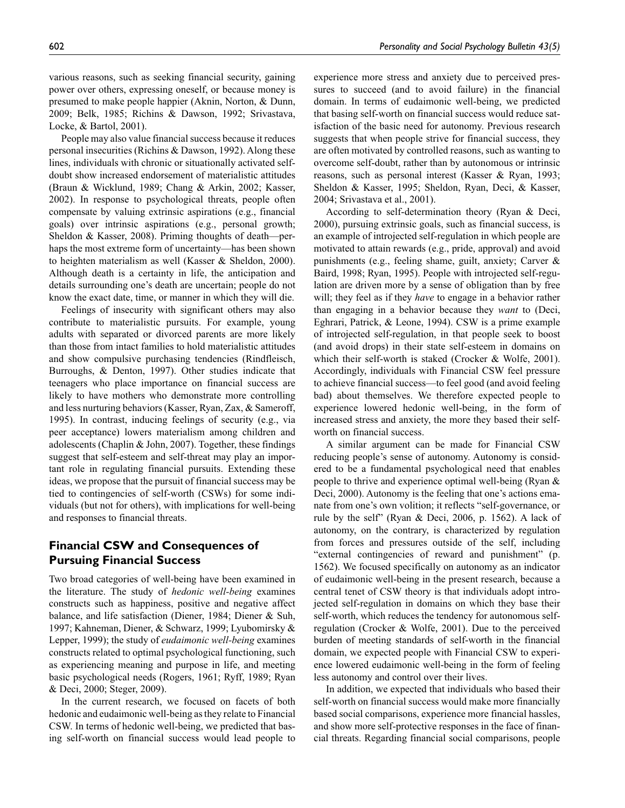various reasons, such as seeking financial security, gaining power over others, expressing oneself, or because money is presumed to make people happier (Aknin, Norton, & Dunn, 2009; Belk, 1985; Richins & Dawson, 1992; Srivastava, Locke, & Bartol, 2001).

People may also value financial success because it reduces personal insecurities (Richins & Dawson, 1992). Along these lines, individuals with chronic or situationally activated selfdoubt show increased endorsement of materialistic attitudes (Braun & Wicklund, 1989; Chang & Arkin, 2002; Kasser, 2002). In response to psychological threats, people often compensate by valuing extrinsic aspirations (e.g., financial goals) over intrinsic aspirations (e.g., personal growth; Sheldon & Kasser, 2008). Priming thoughts of death—perhaps the most extreme form of uncertainty—has been shown to heighten materialism as well (Kasser & Sheldon, 2000). Although death is a certainty in life, the anticipation and details surrounding one's death are uncertain; people do not know the exact date, time, or manner in which they will die.

Feelings of insecurity with significant others may also contribute to materialistic pursuits. For example, young adults with separated or divorced parents are more likely than those from intact families to hold materialistic attitudes and show compulsive purchasing tendencies (Rindfleisch, Burroughs, & Denton, 1997). Other studies indicate that teenagers who place importance on financial success are likely to have mothers who demonstrate more controlling and less nurturing behaviors (Kasser, Ryan, Zax, & Sameroff, 1995). In contrast, inducing feelings of security (e.g., via peer acceptance) lowers materialism among children and adolescents (Chaplin & John, 2007). Together, these findings suggest that self-esteem and self-threat may play an important role in regulating financial pursuits. Extending these ideas, we propose that the pursuit of financial success may be tied to contingencies of self-worth (CSWs) for some individuals (but not for others), with implications for well-being and responses to financial threats.

# **Financial CSW and Consequences of Pursuing Financial Success**

Two broad categories of well-being have been examined in the literature. The study of *hedonic well-being* examines constructs such as happiness, positive and negative affect balance, and life satisfaction (Diener, 1984; Diener & Suh, 1997; Kahneman, Diener, & Schwarz, 1999; Lyubomirsky & Lepper, 1999); the study of *eudaimonic well-being* examines constructs related to optimal psychological functioning, such as experiencing meaning and purpose in life, and meeting basic psychological needs (Rogers, 1961; Ryff, 1989; Ryan & Deci, 2000; Steger, 2009).

In the current research, we focused on facets of both hedonic and eudaimonic well-being as they relate to Financial CSW. In terms of hedonic well-being, we predicted that basing self-worth on financial success would lead people to

experience more stress and anxiety due to perceived pressures to succeed (and to avoid failure) in the financial domain. In terms of eudaimonic well-being, we predicted that basing self-worth on financial success would reduce satisfaction of the basic need for autonomy. Previous research suggests that when people strive for financial success, they are often motivated by controlled reasons, such as wanting to overcome self-doubt, rather than by autonomous or intrinsic reasons, such as personal interest (Kasser & Ryan, 1993; Sheldon & Kasser, 1995; Sheldon, Ryan, Deci, & Kasser, 2004; Srivastava et al., 2001).

According to self-determination theory (Ryan & Deci, 2000), pursuing extrinsic goals, such as financial success, is an example of introjected self-regulation in which people are motivated to attain rewards (e.g., pride, approval) and avoid punishments (e.g., feeling shame, guilt, anxiety; Carver & Baird, 1998; Ryan, 1995). People with introjected self-regulation are driven more by a sense of obligation than by free will; they feel as if they *have* to engage in a behavior rather than engaging in a behavior because they *want* to (Deci, Eghrari, Patrick, & Leone, 1994). CSW is a prime example of introjected self-regulation, in that people seek to boost (and avoid drops) in their state self-esteem in domains on which their self-worth is staked (Crocker & Wolfe, 2001). Accordingly, individuals with Financial CSW feel pressure to achieve financial success—to feel good (and avoid feeling bad) about themselves. We therefore expected people to experience lowered hedonic well-being, in the form of increased stress and anxiety, the more they based their selfworth on financial success.

A similar argument can be made for Financial CSW reducing people's sense of autonomy. Autonomy is considered to be a fundamental psychological need that enables people to thrive and experience optimal well-being (Ryan & Deci, 2000). Autonomy is the feeling that one's actions emanate from one's own volition; it reflects "self-governance, or rule by the self" (Ryan & Deci, 2006, p. 1562). A lack of autonomy, on the contrary, is characterized by regulation from forces and pressures outside of the self, including "external contingencies of reward and punishment" (p. 1562). We focused specifically on autonomy as an indicator of eudaimonic well-being in the present research, because a central tenet of CSW theory is that individuals adopt introjected self-regulation in domains on which they base their self-worth, which reduces the tendency for autonomous selfregulation (Crocker & Wolfe, 2001). Due to the perceived burden of meeting standards of self-worth in the financial domain, we expected people with Financial CSW to experience lowered eudaimonic well-being in the form of feeling less autonomy and control over their lives.

In addition, we expected that individuals who based their self-worth on financial success would make more financially based social comparisons, experience more financial hassles, and show more self-protective responses in the face of financial threats. Regarding financial social comparisons, people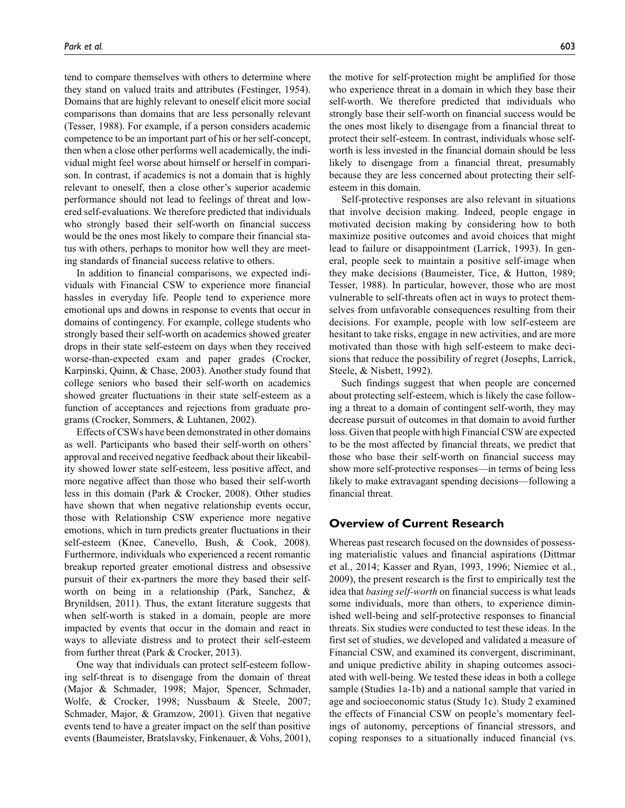tend to compare themselves with others to determine where they stand on valued traits and attributes (Festinger, 1954). Domains that are highly relevant to oneself elicit more social comparisons than domains that are less personally relevant (Tesser, 1988). For example, if a person considers academic competence to be an important part of his or her self-concept, then when a close other performs well academically, the individual might feel worse about himself or herself in comparison. In contrast, if academics is not a domain that is highly relevant to oneself, then a close other's superior academic performance should not lead to feelings of threat and lowered self-evaluations. We therefore predicted that individuals who strongly based their self-worth on financial success would be the ones most likely to compare their financial status with others, perhaps to monitor how well they are meeting standards of financial success relative to others.

In addition to financial comparisons, we expected individuals with Financial CSW to experience more financial hassles in everyday life. People tend to experience more emotional ups and downs in response to events that occur in domains of contingency. For example, college students who strongly based their self-worth on academics showed greater drops in their state self-esteem on days when they received worse-than-expected exam and paper grades (Crocker, Karpinski, Quinn, & Chase, 2003). Another study found that college seniors who based their self-worth on academics showed greater fluctuations in their state self-esteem as a function of acceptances and rejections from graduate programs (Crocker, Sommers, & Luhtanen, 2002).

Effects of CSWs have been demonstrated in other domains as well. Participants who based their self-worth on others' approval and received negative feedback about their likeability showed lower state self-esteem, less positive affect, and more negative affect than those who based their self-worth less in this domain (Park & Crocker, 2008). Other studies have shown that when negative relationship events occur, those with Relationship CSW experience more negative emotions, which in turn predicts greater fluctuations in their self-esteem (Knee, Canevello, Bush, & Cook, 2008). Furthermore, individuals who experienced a recent romantic breakup reported greater emotional distress and obsessive pursuit of their ex-partners the more they based their selfworth on being in a relationship (Park, Sanchez, & Brynildsen, 2011). Thus, the extant literature suggests that when self-worth is staked in a domain, people are more impacted by events that occur in the domain and react in ways to alleviate distress and to protect their self-esteem from further threat (Park & Crocker, 2013).

One way that individuals can protect self-esteem following self-threat is to disengage from the domain of threat (Major & Schmader, 1998; Major, Spencer, Schmader, Wolfe, & Crocker, 1998; Nussbaum & Steele, 2007; Schmader, Major, & Gramzow, 2001). Given that negative events tend to have a greater impact on the self than positive events (Baumeister, Bratslavsky, Finkenauer, & Vohs, 2001),

the motive for self-protection might be amplified for those who experience threat in a domain in which they base their self-worth. We therefore predicted that individuals who strongly base their self-worth on financial success would be the ones most likely to disengage from a financial threat to protect their self-esteem. In contrast, individuals whose selfworth is less invested in the financial domain should be less likely to disengage from a financial threat, presumably because they are less concerned about protecting their selfesteem in this domain.

Self-protective responses are also relevant in situations that involve decision making. Indeed, people engage in motivated decision making by considering how to both maximize positive outcomes and avoid choices that might lead to failure or disappointment (Larrick, 1993). In general, people seek to maintain a positive self-image when they make decisions (Baumeister, Tice, & Hutton, 1989; Tesser, 1988). In particular, however, those who are most vulnerable to self-threats often act in ways to protect themselves from unfavorable consequences resulting from their decisions. For example, people with low self-esteem are hesitant to take risks, engage in new activities, and are more motivated than those with high self-esteem to make decisions that reduce the possibility of regret (Josephs, Larrick, Steele, & Nisbett, 1992).

Such findings suggest that when people are concerned about protecting self-esteem, which is likely the case following a threat to a domain of contingent self-worth, they may decrease pursuit of outcomes in that domain to avoid further loss. Given that people with high Financial CSW are expected to be the most affected by financial threats, we predict that those who base their self-worth on financial success may show more self-protective responses—in terms of being less likely to make extravagant spending decisions—following a financial threat.

## **Overview of Current Research**

Whereas past research focused on the downsides of possessing materialistic values and financial aspirations (Dittmar et al., 2014; Kasser and Ryan, 1993, 1996; Niemiec et al., 2009), the present research is the first to empirically test the idea that *basing self-worth* on financial success is what leads some individuals, more than others, to experience diminished well-being and self-protective responses to financial threats. Six studies were conducted to test these ideas. In the first set of studies, we developed and validated a measure of Financial CSW, and examined its convergent, discriminant, and unique predictive ability in shaping outcomes associated with well-being. We tested these ideas in both a college sample (Studies 1a-1b) and a national sample that varied in age and socioeconomic status (Study 1c). Study 2 examined the effects of Financial CSW on people's momentary feelings of autonomy, perceptions of financial stressors, and coping responses to a situationally induced financial (vs.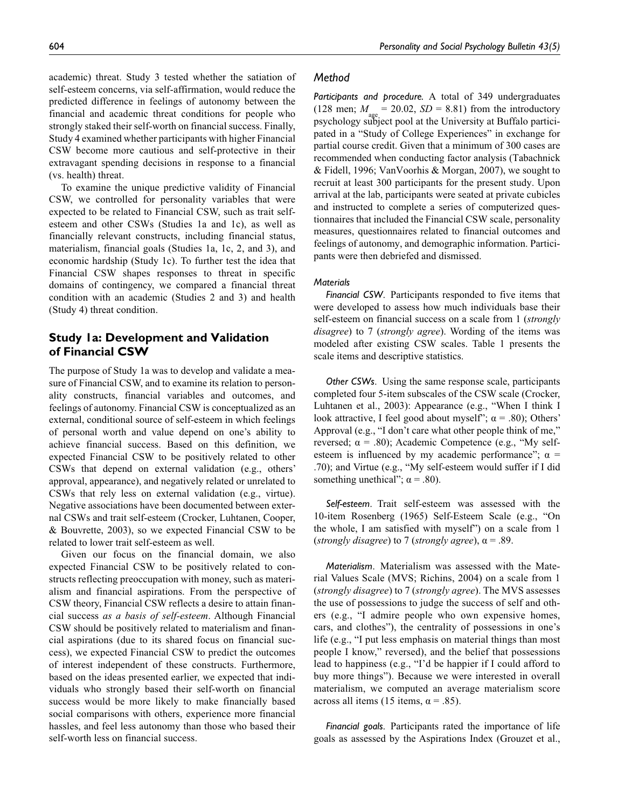academic) threat. Study 3 tested whether the satiation of self-esteem concerns, via self-affirmation, would reduce the predicted difference in feelings of autonomy between the financial and academic threat conditions for people who strongly staked their self-worth on financial success. Finally, Study 4 examined whether participants with higher Financial CSW become more cautious and self-protective in their extravagant spending decisions in response to a financial (vs. health) threat.

To examine the unique predictive validity of Financial CSW, we controlled for personality variables that were expected to be related to Financial CSW, such as trait selfesteem and other CSWs (Studies 1a and 1c), as well as financially relevant constructs, including financial status, materialism, financial goals (Studies 1a, 1c, 2, and 3), and economic hardship (Study 1c). To further test the idea that Financial CSW shapes responses to threat in specific domains of contingency, we compared a financial threat condition with an academic (Studies 2 and 3) and health (Study 4) threat condition.

# **Study 1a: Development and Validation of Financial CSW**

The purpose of Study 1a was to develop and validate a measure of Financial CSW, and to examine its relation to personality constructs, financial variables and outcomes, and feelings of autonomy. Financial CSW is conceptualized as an external, conditional source of self-esteem in which feelings of personal worth and value depend on one's ability to achieve financial success. Based on this definition, we expected Financial CSW to be positively related to other CSWs that depend on external validation (e.g., others' approval, appearance), and negatively related or unrelated to CSWs that rely less on external validation (e.g., virtue). Negative associations have been documented between external CSWs and trait self-esteem (Crocker, Luhtanen, Cooper, & Bouvrette, 2003), so we expected Financial CSW to be related to lower trait self-esteem as well.

Given our focus on the financial domain, we also expected Financial CSW to be positively related to constructs reflecting preoccupation with money, such as materialism and financial aspirations. From the perspective of CSW theory, Financial CSW reflects a desire to attain financial success *as a basis of self-esteem*. Although Financial CSW should be positively related to materialism and financial aspirations (due to its shared focus on financial success), we expected Financial CSW to predict the outcomes of interest independent of these constructs. Furthermore, based on the ideas presented earlier, we expected that individuals who strongly based their self-worth on financial success would be more likely to make financially based social comparisons with others, experience more financial hassles, and feel less autonomy than those who based their self-worth less on financial success.

## *Method*

*Participants and procedure.* A total of 349 undergraduates (128 men;  $M = 20.02$ ,  $SD = 8.81$ ) from the introductory psychology subject pool at the University at Buffalo participated in a "Study of College Experiences" in exchange for partial course credit. Given that a minimum of 300 cases are recommended when conducting factor analysis (Tabachnick & Fidell, 1996; VanVoorhis & Morgan, 2007), we sought to recruit at least 300 participants for the present study. Upon arrival at the lab, participants were seated at private cubicles and instructed to complete a series of computerized questionnaires that included the Financial CSW scale, personality measures, questionnaires related to financial outcomes and feelings of autonomy, and demographic information. Participants were then debriefed and dismissed.

#### *Materials*

*Financial CSW*. Participants responded to five items that were developed to assess how much individuals base their self-esteem on financial success on a scale from 1 (*strongly disagree*) to 7 (*strongly agree*). Wording of the items was modeled after existing CSW scales. Table 1 presents the scale items and descriptive statistics.

*Other CSWs*. Using the same response scale, participants completed four 5-item subscales of the CSW scale (Crocker, Luhtanen et al., 2003): Appearance (e.g., "When I think I look attractive, I feel good about myself";  $\alpha$  = .80); Others' Approval (e.g., "I don't care what other people think of me," reversed;  $\alpha$  = .80); Academic Competence (e.g., "My selfesteem is influenced by my academic performance";  $\alpha$  = .70); and Virtue (e.g., "My self-esteem would suffer if I did something unethical";  $\alpha$  = .80).

*Self-esteem*. Trait self-esteem was assessed with the 10-item Rosenberg (1965) Self-Esteem Scale (e.g., "On the whole, I am satisfied with myself") on a scale from 1 (*strongly disagree*) to 7 (*strongly agree*), α = .89.

*Materialism*. Materialism was assessed with the Material Values Scale (MVS; Richins, 2004) on a scale from 1 (*strongly disagree*) to 7 (*strongly agree*). The MVS assesses the use of possessions to judge the success of self and others (e.g., "I admire people who own expensive homes, cars, and clothes"), the centrality of possessions in one's life (e.g., "I put less emphasis on material things than most people I know," reversed), and the belief that possessions lead to happiness (e.g., "I'd be happier if I could afford to buy more things"). Because we were interested in overall materialism, we computed an average materialism score across all items (15 items,  $\alpha$  = .85).

*Financial goals*. Participants rated the importance of life goals as assessed by the Aspirations Index (Grouzet et al.,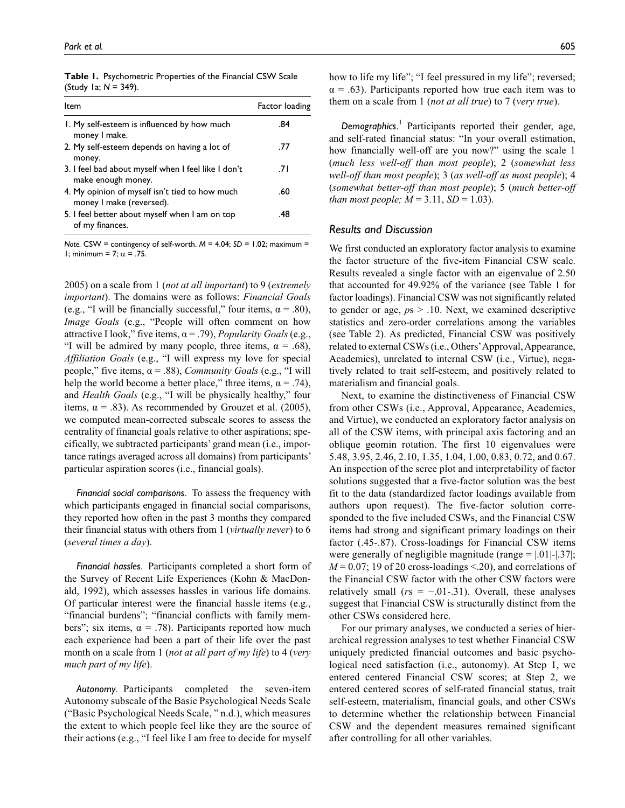| Table 1. Psychometric Properties of the Financial CSW Scale |
|-------------------------------------------------------------|
| (Study 1a; $N = 349$ ).                                     |

| ltem                                                                       | Factor loading |
|----------------------------------------------------------------------------|----------------|
| I. My self-esteem is influenced by how much<br>money I make.               | .84            |
| 2. My self-esteem depends on having a lot of<br>money.                     | .77            |
| 3. I feel bad about myself when I feel like I don't<br>make enough money.  | .7 I           |
| 4. My opinion of myself isn't tied to how much<br>money I make (reversed). | .60            |
| 5. I feel better about myself when I am on top<br>of my finances.          | .48            |

*Note.* CSW = contingency of self-worth. *M* = 4.04; *SD* = 1.02; maximum = 1; minimum = 7;  $\alpha$  = .75.

2005) on a scale from 1 (*not at all important*) to 9 (*extremely important*). The domains were as follows: *Financial Goals* (e.g., "I will be financially successful," four items,  $\alpha = .80$ ), *Image Goals* (e.g., "People will often comment on how attractive I look," five items, α = .79), *Popularity Goals* (e.g., "I will be admired by many people, three items,  $\alpha = .68$ ), *Affiliation Goals* (e.g., "I will express my love for special people," five items,  $\alpha$  = .88), *Community Goals* (e.g., "I will help the world become a better place," three items,  $\alpha = .74$ ), and *Health Goals* (e.g., "I will be physically healthy," four items,  $\alpha = .83$ ). As recommended by Grouzet et al. (2005), we computed mean-corrected subscale scores to assess the centrality of financial goals relative to other aspirations; specifically, we subtracted participants' grand mean (i.e., importance ratings averaged across all domains) from participants' particular aspiration scores (i.e., financial goals).

*Financial social comparisons*. To assess the frequency with which participants engaged in financial social comparisons, they reported how often in the past 3 months they compared their financial status with others from 1 (*virtually never*) to 6 (*several times a day*).

*Financial hassles*. Participants completed a short form of the Survey of Recent Life Experiences (Kohn & MacDonald, 1992), which assesses hassles in various life domains. Of particular interest were the financial hassle items (e.g., "financial burdens"; "financial conflicts with family members"; six items,  $\alpha = .78$ ). Participants reported how much each experience had been a part of their life over the past month on a scale from 1 (*not at all part of my life*) to 4 (*very much part of my life*).

*Autonomy*. Participants completed the seven-item Autonomy subscale of the Basic Psychological Needs Scale ("Basic Psychological Needs Scale, " n.d.), which measures the extent to which people feel like they are the source of their actions (e.g., "I feel like I am free to decide for myself how to life my life"; "I feel pressured in my life"; reversed;  $\alpha$  = .63). Participants reported how true each item was to them on a scale from 1 (*not at all true*) to 7 (*very true*).

*Demographics*. <sup>1</sup> Participants reported their gender, age, and self-rated financial status: "In your overall estimation, how financially well-off are you now?" using the scale 1 (*much less well-off than most people*); 2 (*somewhat less well-off than most people*); 3 (*as well-off as most people*); 4 (*somewhat better-off than most people*); 5 (*much better-off than most people;*  $M = 3.11$ *,*  $SD = 1.03$ *).* 

#### *Results and Discussion*

We first conducted an exploratory factor analysis to examine the factor structure of the five-item Financial CSW scale. Results revealed a single factor with an eigenvalue of 2.50 that accounted for 49.92% of the variance (see Table 1 for factor loadings). Financial CSW was not significantly related to gender or age, *p*s > .10. Next, we examined descriptive statistics and zero-order correlations among the variables (see Table 2). As predicted, Financial CSW was positively related to external CSWs (i.e., Others' Approval, Appearance, Academics), unrelated to internal CSW (i.e., Virtue), negatively related to trait self-esteem, and positively related to materialism and financial goals.

Next, to examine the distinctiveness of Financial CSW from other CSWs (i.e., Approval, Appearance, Academics, and Virtue), we conducted an exploratory factor analysis on all of the CSW items, with principal axis factoring and an oblique geomin rotation. The first 10 eigenvalues were 5.48, 3.95, 2.46, 2.10, 1.35, 1.04, 1.00, 0.83, 0.72, and 0.67. An inspection of the scree plot and interpretability of factor solutions suggested that a five-factor solution was the best fit to the data (standardized factor loadings available from authors upon request). The five-factor solution corresponded to the five included CSWs, and the Financial CSW items had strong and significant primary loadings on their factor (.45-.87). Cross-loadings for Financial CSW items were generally of negligible magnitude (range  $= |01|$ - $|037|$ ;  $M = 0.07$ ; 19 of 20 cross-loadings <.20), and correlations of the Financial CSW factor with the other CSW factors were relatively small  $(rs = -.01-.31)$ . Overall, these analyses suggest that Financial CSW is structurally distinct from the other CSWs considered here.

For our primary analyses, we conducted a series of hierarchical regression analyses to test whether Financial CSW uniquely predicted financial outcomes and basic psychological need satisfaction (i.e., autonomy). At Step 1, we entered centered Financial CSW scores; at Step 2, we entered centered scores of self-rated financial status, trait self-esteem, materialism, financial goals, and other CSWs to determine whether the relationship between Financial CSW and the dependent measures remained significant after controlling for all other variables.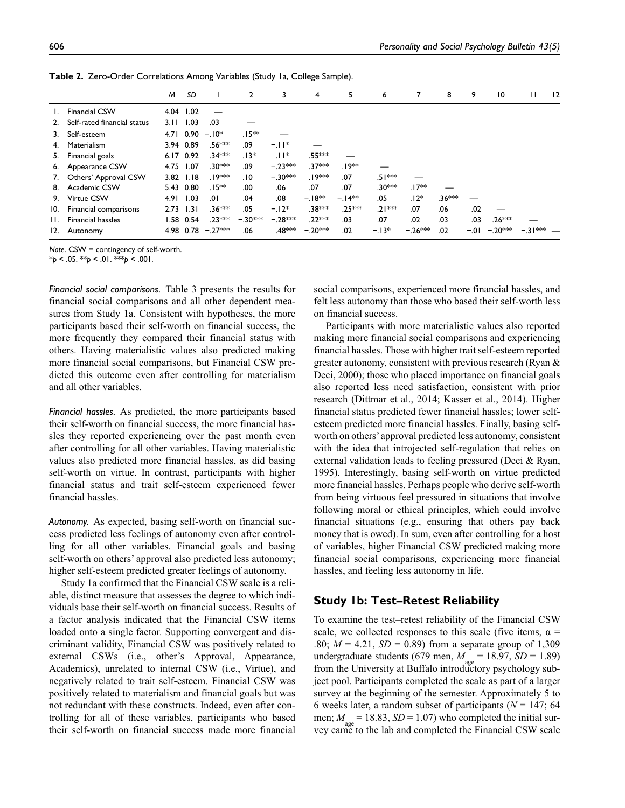|     |                             | M    | SD            |           | 2         | 3                  | 4                  | 5       | 6        |           | 8      | 9      | $\overline{10}$ | $\mathbf{H}$ | 12 |
|-----|-----------------------------|------|---------------|-----------|-----------|--------------------|--------------------|---------|----------|-----------|--------|--------|-----------------|--------------|----|
|     | <b>Financial CSW</b>        |      | 4.04 1.02     |           |           |                    |                    |         |          |           |        |        |                 |              |    |
| 2.  | Self-rated financial status | 3.11 | 1.03          | .03       |           |                    |                    |         |          |           |        |        |                 |              |    |
| 3.  | Self-esteem                 |      | 4.71 0.90     | $-.10*$   | $.15**$   |                    |                    |         |          |           |        |        |                 |              |    |
| 4.  | Materialism                 |      | 3.94 0.89     | .56***    | .09       | $-11*$             |                    |         |          |           |        |        |                 |              |    |
| 5.  | Financial goals             |      | 6.17 0.92     | .34***    | $.13*$    | $.11*$             | .55***             |         |          |           |        |        |                 |              |    |
|     | 6. Appearance CSW           | 4.75 | 1.07          | .30***    | .09       | $-.23***$          | .37***             | .19**   |          |           |        |        |                 |              |    |
| 7.  | Others' Approval CSW        |      | $3.82$ $1.18$ | .19***    | .10       | $-.30***$          | .∣9∗∗*             | .07     | .51***   |           |        |        |                 |              |    |
| 8.  | Academic CSW                |      | 5.43 0.80     | $.15**$   | .00       | .06                | .07                | .07     | .30***   | $.17**$   |        |        |                 |              |    |
| 9.  | Virtue CSW                  | 4.91 | 1.03          | .01       | .04       | .08                | $-18**$            | $-14**$ | .05      | $.12*$    | .36*** |        |                 |              |    |
| 10. | Financial comparisons       | 2.73 | 1.31          | $.36***$  | .05       | $-12*$             | .38 <sup>***</sup> | .25***  | $.21***$ | .07       | .06    | .02    |                 |              |    |
| Н.  | <b>Financial hassles</b>    |      | 1.58 0.54     | .23***    | $-.30***$ | $-.28***$          | .22 ***            | .03     | .07      | .02       | .03    | .03    | .26 ***         |              |    |
| 12. | Autonomy                    |      | 4.98 0.78     | $-.27***$ | .06       | .48 <sup>***</sup> | $-.20***$          | .02     | $-13*$   | $-.26***$ | .02    | $-.01$ | $-.20***$       | $-.31***$    |    |
|     |                             |      |               |           |           |                    |                    |         |          |           |        |        |                 |              |    |

**Table 2.** Zero-Order Correlations Among Variables (Study 1a, College Sample).

*Note*. CSW = contingency of self-worth.

 $*_{p}$  < .05.  $*_{p}$  < .01.  $*_{p}$  < .001.

*Financial social comparisons.* Table 3 presents the results for financial social comparisons and all other dependent measures from Study 1a. Consistent with hypotheses, the more participants based their self-worth on financial success, the more frequently they compared their financial status with others. Having materialistic values also predicted making more financial social comparisons, but Financial CSW predicted this outcome even after controlling for materialism and all other variables.

*Financial hassles.* As predicted, the more participants based their self-worth on financial success, the more financial hassles they reported experiencing over the past month even after controlling for all other variables. Having materialistic values also predicted more financial hassles, as did basing self-worth on virtue. In contrast, participants with higher financial status and trait self-esteem experienced fewer financial hassles.

*Autonomy.* As expected, basing self-worth on financial success predicted less feelings of autonomy even after controlling for all other variables. Financial goals and basing self-worth on others' approval also predicted less autonomy; higher self-esteem predicted greater feelings of autonomy.

Study 1a confirmed that the Financial CSW scale is a reliable, distinct measure that assesses the degree to which individuals base their self-worth on financial success. Results of a factor analysis indicated that the Financial CSW items loaded onto a single factor. Supporting convergent and discriminant validity, Financial CSW was positively related to external CSWs (i.e., other's Approval, Appearance, Academics), unrelated to internal CSW (i.e., Virtue), and negatively related to trait self-esteem. Financial CSW was positively related to materialism and financial goals but was not redundant with these constructs. Indeed, even after controlling for all of these variables, participants who based their self-worth on financial success made more financial

social comparisons, experienced more financial hassles, and felt less autonomy than those who based their self-worth less on financial success.

Participants with more materialistic values also reported making more financial social comparisons and experiencing financial hassles. Those with higher trait self-esteem reported greater autonomy, consistent with previous research (Ryan & Deci, 2000); those who placed importance on financial goals also reported less need satisfaction, consistent with prior research (Dittmar et al., 2014; Kasser et al., 2014). Higher financial status predicted fewer financial hassles; lower selfesteem predicted more financial hassles. Finally, basing selfworth on others' approval predicted less autonomy, consistent with the idea that introjected self-regulation that relies on external validation leads to feeling pressured (Deci & Ryan, 1995). Interestingly, basing self-worth on virtue predicted more financial hassles. Perhaps people who derive self-worth from being virtuous feel pressured in situations that involve following moral or ethical principles, which could involve financial situations (e.g., ensuring that others pay back money that is owed). In sum, even after controlling for a host of variables, higher Financial CSW predicted making more financial social comparisons, experiencing more financial hassles, and feeling less autonomy in life.

## **Study 1b: Test–Retest Reliability**

To examine the test–retest reliability of the Financial CSW scale, we collected responses to this scale (five items,  $\alpha$  = .80;  $M = 4.21$ ,  $SD = 0.89$ ) from a separate group of 1,309 undergraduate students (679 men,  $M_{\text{age}} = 18.97$ ,  $SD = 1.89$ ) from the University at Buffalo introductory psychology subject pool. Participants completed the scale as part of a larger survey at the beginning of the semester. Approximately 5 to 6 weeks later, a random subset of participants ( $N = 147$ ; 64 men;  $M_{\text{max}} = 18.83$ ,  $SD = 1.07$ ) who completed the initial survey came to the lab and completed the Financial CSW scale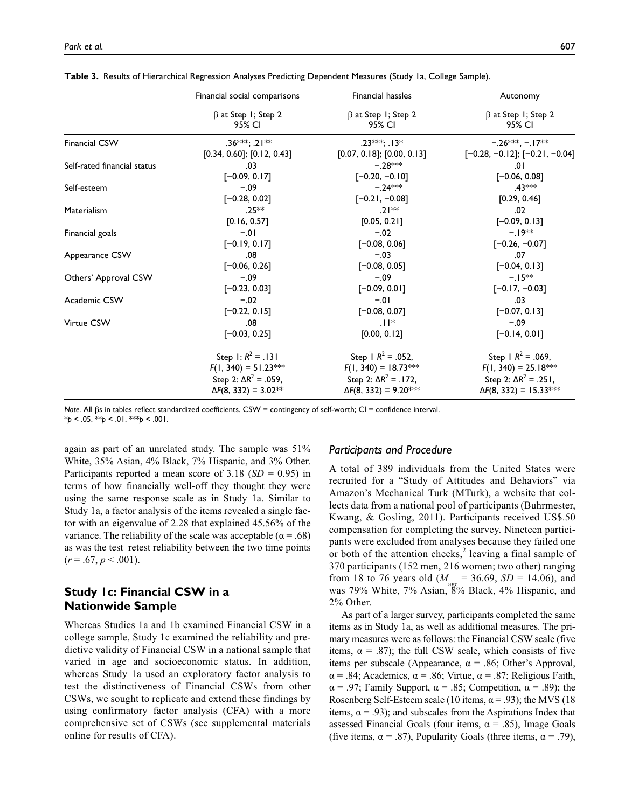|                             | Financial social comparisons        | Financial hassles                   | Autonomy                            |
|-----------------------------|-------------------------------------|-------------------------------------|-------------------------------------|
|                             | $\beta$ at Step 1; Step 2<br>95% CI | $\beta$ at Step 1; Step 2<br>95% CI | $\beta$ at Step 1; Step 2<br>95% CI |
| <b>Financial CSW</b>        | $.36***: .21***$                    | $.23***: .13*$                      | $-0.26***$ $-0.17**$                |
|                             | $[0.34, 0.60]$ ; $[0.12, 0.43]$     | $[0.07, 0.18]$ ; $[0.00, 0.13]$     | $[-0.28, -0.12]$ ; $[-0.21, -0.04]$ |
| Self-rated financial status | .03                                 | $-.28***$                           | .01                                 |
|                             | $[-0.09, 0.17]$                     | $[-0.20, -0.10]$                    | $[-0.06, 0.08]$                     |
| Self-esteem                 | $-.09$                              | $-.24***$                           | .43 ***                             |
|                             | $[-0.28, 0.02]$                     | $[-0.21, -0.08]$                    | [0.29, 0.46]                        |
| Materialism                 | $.25**$                             | $.21**$                             | .02                                 |
|                             | [0.16, 0.57]                        | [0.05, 0.21]                        | $[-0.09, 0.13]$                     |
| Financial goals             | $-.01$                              | $-.02$                              | $-19**$                             |
|                             | $[-0.19, 0.17]$                     | $[-0.08, 0.06]$                     | $[-0.26, -0.07]$                    |
| Appearance CSW              | .08                                 | $-.03$                              | .07                                 |
|                             | $[-0.06, 0.26]$                     | $[-0.08, 0.05]$                     | $[-0.04, 0.13]$                     |
| Others' Approval CSW        | $-.09$                              | $-.09$                              | $-15**$                             |
|                             | $[-0.23, 0.03]$                     | $[-0.09, 0.01]$                     | $[-0.17, -0.03]$                    |
| Academic CSW                | $-.02$                              | $-.01$                              | .03                                 |
|                             | $[-0.22, 0.15]$                     | $[-0.08, 0.07]$                     | $[-0.07, 0.13]$                     |
| Virtue CSW                  | .08                                 | $.11*$                              | $-.09$                              |
|                             | $[-0.03, 0.25]$                     | [0.00, 0.12]                        | $[-0.14, 0.01]$                     |
|                             | Step $1: R^2 = .131$                | Step 1 $R^2$ = .052,                | Step $1 R^2 = .069$ ,               |
|                             | $F(1, 340) = 51.23***$              | $F(1, 340) = 18.73$ ***             | $F(1, 340) = 25.18$ **              |
|                             | Step 2: $\Delta R^2 = .059$ ,       | Step 2: $\Delta R^2 = .172$ ,       | Step 2: $\Delta R^2 = .251$ ,       |
|                             | $\Delta F(8, 332) = 3.02**$         | $\Delta F(8, 332) = 9.20$ ***       | $\Delta F(8, 332) = 15.33$ ***      |

**Table 3.** Results of Hierarchical Regression Analyses Predicting Dependent Measures (Study 1a, College Sample).

*Note*. All βs in tables reflect standardized coefficients. CSW = contingency of self-worth; CI = confidence interval. \**p* < .05. \*\**p* < .01. \*\*\**p* < .001.

again as part of an unrelated study. The sample was 51% White, 35% Asian, 4% Black, 7% Hispanic, and 3% Other. Participants reported a mean score of 3.18 (*SD* = 0.95) in terms of how financially well-off they thought they were using the same response scale as in Study 1a. Similar to Study 1a, a factor analysis of the items revealed a single factor with an eigenvalue of 2.28 that explained 45.56% of the variance. The reliability of the scale was acceptable ( $\alpha = .68$ ) as was the test–retest reliability between the two time points  $(r=.67, p < .001).$ 

# **Study 1c: Financial CSW in a Nationwide Sample**

Whereas Studies 1a and 1b examined Financial CSW in a college sample, Study 1c examined the reliability and predictive validity of Financial CSW in a national sample that varied in age and socioeconomic status. In addition, whereas Study 1a used an exploratory factor analysis to test the distinctiveness of Financial CSWs from other CSWs, we sought to replicate and extend these findings by using confirmatory factor analysis (CFA) with a more comprehensive set of CSWs (see supplemental materials online for results of CFA).

### *Participants and Procedure*

A total of 389 individuals from the United States were recruited for a "Study of Attitudes and Behaviors" via Amazon's Mechanical Turk (MTurk), a website that collects data from a national pool of participants (Buhrmester, Kwang, & Gosling, 2011). Participants received US\$.50 compensation for completing the survey. Nineteen participants were excluded from analyses because they failed one or both of the attention checks,<sup>2</sup> leaving a final sample of 370 participants (152 men, 216 women; two other) ranging from 18 to 76 years old  $(M = 36.69, SD = 14.06)$ , and was 79% White, 7% Asian, 8% Black, 4% Hispanic, and 2% Other.

As part of a larger survey, participants completed the same items as in Study 1a, as well as additional measures. The primary measures were as follows: the Financial CSW scale (five items,  $\alpha = .87$ ); the full CSW scale, which consists of five items per subscale (Appearance,  $\alpha$  = .86; Other's Approval,  $\alpha = .84$ ; Academics,  $\alpha = .86$ ; Virtue,  $\alpha = .87$ ; Religious Faith,  $\alpha$  = .97; Family Support,  $\alpha$  = .85; Competition,  $\alpha$  = .89); the Rosenberg Self-Esteem scale (10 items,  $\alpha$  = .93); the MVS (18 items,  $\alpha$  = .93); and subscales from the Aspirations Index that assessed Financial Goals (four items,  $\alpha = .85$ ), Image Goals (five items,  $\alpha = .87$ ), Popularity Goals (three items,  $\alpha = .79$ ),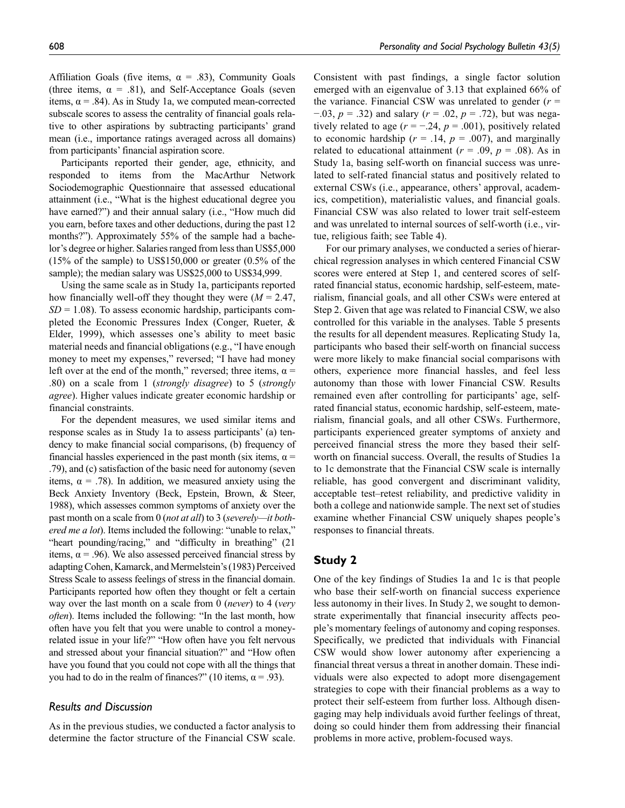Affiliation Goals (five items,  $\alpha = .83$ ), Community Goals (three items,  $\alpha = .81$ ), and Self-Acceptance Goals (seven items,  $\alpha$  = .84). As in Study 1a, we computed mean-corrected subscale scores to assess the centrality of financial goals relative to other aspirations by subtracting participants' grand mean (i.e., importance ratings averaged across all domains) from participants' financial aspiration score.

Participants reported their gender, age, ethnicity, and responded to items from the MacArthur Network Sociodemographic Questionnaire that assessed educational attainment (i.e., "What is the highest educational degree you have earned?") and their annual salary (i.e., "How much did you earn, before taxes and other deductions, during the past 12 months?"). Approximately 55% of the sample had a bachelor's degree or higher. Salaries ranged from less than US\$5,000  $(15\% \text{ of the sample})$  to US\$150,000 or greater  $(0.5\% \text{ of the sample})$ sample); the median salary was US\$25,000 to US\$34,999.

Using the same scale as in Study 1a, participants reported how financially well-off they thought they were (*M* = 2.47,  $SD = 1.08$ ). To assess economic hardship, participants completed the Economic Pressures Index (Conger, Rueter, & Elder, 1999), which assesses one's ability to meet basic material needs and financial obligations (e.g., "I have enough money to meet my expenses," reversed; "I have had money left over at the end of the month," reversed; three items,  $\alpha$  = .80) on a scale from 1 (*strongly disagree*) to 5 (*strongly agree*). Higher values indicate greater economic hardship or financial constraints.

For the dependent measures, we used similar items and response scales as in Study 1a to assess participants' (a) tendency to make financial social comparisons, (b) frequency of financial hassles experienced in the past month (six items,  $\alpha$  = .79), and (c) satisfaction of the basic need for autonomy (seven items,  $\alpha = .78$ ). In addition, we measured anxiety using the Beck Anxiety Inventory (Beck, Epstein, Brown, & Steer, 1988), which assesses common symptoms of anxiety over the past month on a scale from 0 (*not at all*) to 3 (*severely—it bothered me a lot*). Items included the following: "unable to relax," "heart pounding/racing," and "difficulty in breathing" (21 items,  $\alpha$  = .96). We also assessed perceived financial stress by adapting Cohen, Kamarck, and Mermelstein's (1983) Perceived Stress Scale to assess feelings of stress in the financial domain. Participants reported how often they thought or felt a certain way over the last month on a scale from 0 (*never*) to 4 (*very often*). Items included the following: "In the last month, how often have you felt that you were unable to control a moneyrelated issue in your life?" "How often have you felt nervous and stressed about your financial situation?" and "How often have you found that you could not cope with all the things that you had to do in the realm of finances?" (10 items,  $\alpha = .93$ ).

## *Results and Discussion*

As in the previous studies, we conducted a factor analysis to determine the factor structure of the Financial CSW scale.

Consistent with past findings, a single factor solution emerged with an eigenvalue of 3.13 that explained 66% of the variance. Financial CSW was unrelated to gender (*r* = −.03, *p* = .32) and salary (*r* = .02, *p* = .72), but was negatively related to age  $(r = -.24, p = .001)$ , positively related to economic hardship  $(r = .14, p = .007)$ , and marginally related to educational attainment ( $r = .09$ ,  $p = .08$ ). As in Study 1a, basing self-worth on financial success was unrelated to self-rated financial status and positively related to external CSWs (i.e., appearance, others' approval, academics, competition), materialistic values, and financial goals. Financial CSW was also related to lower trait self-esteem and was unrelated to internal sources of self-worth (i.e., virtue, religious faith; see Table 4).

For our primary analyses, we conducted a series of hierarchical regression analyses in which centered Financial CSW scores were entered at Step 1, and centered scores of selfrated financial status, economic hardship, self-esteem, materialism, financial goals, and all other CSWs were entered at Step 2. Given that age was related to Financial CSW, we also controlled for this variable in the analyses. Table 5 presents the results for all dependent measures. Replicating Study 1a, participants who based their self-worth on financial success were more likely to make financial social comparisons with others, experience more financial hassles, and feel less autonomy than those with lower Financial CSW. Results remained even after controlling for participants' age, selfrated financial status, economic hardship, self-esteem, materialism, financial goals, and all other CSWs. Furthermore, participants experienced greater symptoms of anxiety and perceived financial stress the more they based their selfworth on financial success. Overall, the results of Studies 1a to 1c demonstrate that the Financial CSW scale is internally reliable, has good convergent and discriminant validity, acceptable test–retest reliability, and predictive validity in both a college and nationwide sample. The next set of studies examine whether Financial CSW uniquely shapes people's responses to financial threats.

# **Study 2**

One of the key findings of Studies 1a and 1c is that people who base their self-worth on financial success experience less autonomy in their lives. In Study 2, we sought to demonstrate experimentally that financial insecurity affects people's momentary feelings of autonomy and coping responses. Specifically, we predicted that individuals with Financial CSW would show lower autonomy after experiencing a financial threat versus a threat in another domain. These individuals were also expected to adopt more disengagement strategies to cope with their financial problems as a way to protect their self-esteem from further loss. Although disengaging may help individuals avoid further feelings of threat, doing so could hinder them from addressing their financial problems in more active, problem-focused ways.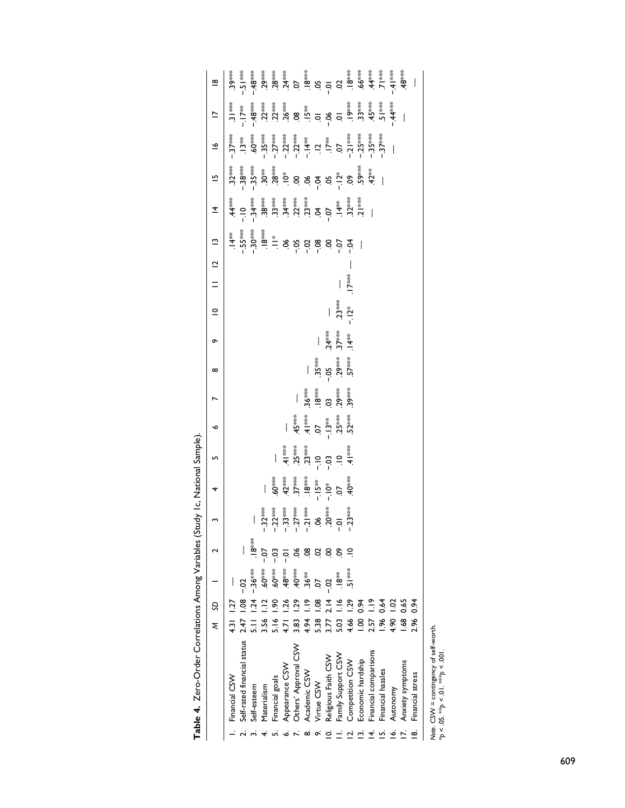|    |                                                                                        | ξ              | S             |                                  |       | $\overline{\phantom{a}}$ | $\overline{a}$                                                                                                                                                                                                                                                                                                                                                                                    | $\bullet$                                                                                                                                                                                                                                                                                                                                                                                                     | $\overline{a}$                                | $\infty$                 | o                                                                                                                  | $\overline{a}$                                   | $\frac{12}{11}$ |  | $\overline{4}$ | $\tilde{\bullet}$                     | $\begin{array}{r} \mathbf{L} = \begin{array}{ccc} \frac{1}{2} & \frac{1}{2} & \frac{1}{2} & \frac{1}{2} & \frac{1}{2} & \frac{1}{2} & \frac{1}{2} \\ \frac{1}{2} & \frac{1}{2} & \frac{1}{2} & \frac{1}{2} & \frac{1}{2} & \frac{1}{2} & \frac{1}{2} \\ \frac{1}{2} & \frac{1}{2} & \frac{1}{2} & \frac{1}{2} & \frac{1}{2} & \frac{1}{2} & \frac{1}{2} \\ \frac{1}{2} & \frac{1}{2} & \frac{1}{2} & \frac{1}{2}$ |  |
|----|----------------------------------------------------------------------------------------|----------------|---------------|----------------------------------|-------|--------------------------|---------------------------------------------------------------------------------------------------------------------------------------------------------------------------------------------------------------------------------------------------------------------------------------------------------------------------------------------------------------------------------------------------|---------------------------------------------------------------------------------------------------------------------------------------------------------------------------------------------------------------------------------------------------------------------------------------------------------------------------------------------------------------------------------------------------------------|-----------------------------------------------|--------------------------|--------------------------------------------------------------------------------------------------------------------|--------------------------------------------------|-----------------|--|----------------|---------------------------------------|-------------------------------------------------------------------------------------------------------------------------------------------------------------------------------------------------------------------------------------------------------------------------------------------------------------------------------------------------------------------------------------------------------------------|--|
|    | Financial CSW                                                                          | 4.31           | 1.27          |                                  |       |                          |                                                                                                                                                                                                                                                                                                                                                                                                   |                                                                                                                                                                                                                                                                                                                                                                                                               |                                               |                          |                                                                                                                    |                                                  |                 |  |                | ▌<br>▕ᡷᢠᢠᢜᢜᢠᢠᢠᢠ<br>ᡊ᠄ᢆ᠑᠄᠅ᡳᡗᡲ᠅᠅᠅᠅᠅᠅᠅᠅᠅ |                                                                                                                                                                                                                                                                                                                                                                                                                   |  |
|    | Self-rated financial status                                                            | 2.47           |               | $-0.2$                           |       |                          |                                                                                                                                                                                                                                                                                                                                                                                                   |                                                                                                                                                                                                                                                                                                                                                                                                               |                                               |                          |                                                                                                                    |                                                  |                 |  |                |                                       |                                                                                                                                                                                                                                                                                                                                                                                                                   |  |
|    | Self-esteem                                                                            |                |               | $-36***$                         | ,i8** |                          |                                                                                                                                                                                                                                                                                                                                                                                                   |                                                                                                                                                                                                                                                                                                                                                                                                               |                                               |                          |                                                                                                                    |                                                  |                 |  |                |                                       |                                                                                                                                                                                                                                                                                                                                                                                                                   |  |
|    | Materialism                                                                            | 3.56           |               | $50^{***}$                       | $-0-$ |                          |                                                                                                                                                                                                                                                                                                                                                                                                   |                                                                                                                                                                                                                                                                                                                                                                                                               |                                               |                          |                                                                                                                    |                                                  |                 |  |                |                                       |                                                                                                                                                                                                                                                                                                                                                                                                                   |  |
|    | Financial goals                                                                        | $\frac{6}{2}$  |               | $60^{***}$                       | ë     |                          |                                                                                                                                                                                                                                                                                                                                                                                                   |                                                                                                                                                                                                                                                                                                                                                                                                               |                                               |                          |                                                                                                                    |                                                  |                 |  |                |                                       |                                                                                                                                                                                                                                                                                                                                                                                                                   |  |
|    | Appearance CSW                                                                         | 4.71           |               | $.48^{\text{k} \cdot \text{sk}}$ |       |                          |                                                                                                                                                                                                                                                                                                                                                                                                   |                                                                                                                                                                                                                                                                                                                                                                                                               |                                               |                          |                                                                                                                    |                                                  |                 |  |                |                                       |                                                                                                                                                                                                                                                                                                                                                                                                                   |  |
|    | Others' Approval CSW                                                                   | $\frac{33}{2}$ |               | $\sum_{i=1}^{n}$                 |       |                          |                                                                                                                                                                                                                                                                                                                                                                                                   |                                                                                                                                                                                                                                                                                                                                                                                                               |                                               |                          |                                                                                                                    |                                                  |                 |  |                |                                       |                                                                                                                                                                                                                                                                                                                                                                                                                   |  |
| ထ  | Academic CSW                                                                           | 4.94           |               | $36**$                           |       |                          | $\frac{1}{4} \begin{array}{c} \frac{1}{4} \frac{1}{4} \frac{1}{4} \frac{1}{4} \frac{1}{4} \frac{1}{4} \frac{1}{4} \frac{1}{4} \frac{1}{4} \frac{1}{4} \frac{1}{4} \frac{1}{4} \frac{1}{4} \frac{1}{4} \frac{1}{4} \frac{1}{4} \frac{1}{4} \frac{1}{4} \frac{1}{4} \frac{1}{4} \frac{1}{4} \frac{1}{4} \frac{1}{4} \frac{1}{4} \frac{1}{4} \frac{1}{4} \frac{1}{4} \frac{1}{4} \frac{1}{4} \frac{$ | $\begin{array}{r} \frac{7}{3} \\ -\frac{2}{3} \\ +\frac{2}{3} \\ +\frac{2}{3} \\ -\frac{2}{3} \\ -\frac{2}{3} \\ -\frac{2}{3} \\ -\frac{2}{3} \\ -\frac{2}{3} \\ -\frac{2}{3} \\ -\frac{2}{3} \\ -\frac{2}{3} \\ -\frac{2}{3} \\ -\frac{2}{3} \\ -\frac{2}{3} \\ -\frac{2}{3} \\ -\frac{2}{3} \\ -\frac{2}{3} \\ -\frac{2}{3} \\ -\frac{2}{3} \\ -\frac{2}{3} \\ -\frac{2}{3} \\ -\frac{2}{3} \\ -\frac{2}{3$ | – * * *<br>^ * * * * * * *<br>^ ^ * * * * * * |                          |                                                                                                                    |                                                  |                 |  |                |                                       |                                                                                                                                                                                                                                                                                                                                                                                                                   |  |
|    | Virtue CSW                                                                             | 5.38           |               |                                  |       |                          |                                                                                                                                                                                                                                                                                                                                                                                                   |                                                                                                                                                                                                                                                                                                                                                                                                               |                                               |                          |                                                                                                                    |                                                  |                 |  |                |                                       |                                                                                                                                                                                                                                                                                                                                                                                                                   |  |
| 0  | Religious Faith CSW                                                                    | 3.77           |               | $-0.2$                           |       |                          |                                                                                                                                                                                                                                                                                                                                                                                                   |                                                                                                                                                                                                                                                                                                                                                                                                               |                                               | ***<br>15.30<br>15.37*** | $\begin{array}{c}\n & \frac{3}{4} \\ -3 \\ -4 \\ \hline\n 5 \\ -4 \\ \hline\n 7 \\ -4 \\ \hline\n 1\n \end{array}$ |                                                  |                 |  |                |                                       |                                                                                                                                                                                                                                                                                                                                                                                                                   |  |
|    | Family Support CSW                                                                     | 5.03           |               | *<br>一.                          |       |                          |                                                                                                                                                                                                                                                                                                                                                                                                   |                                                                                                                                                                                                                                                                                                                                                                                                               |                                               |                          |                                                                                                                    | $-\frac{3}{2}$<br>$\frac{3}{2}$<br>$\frac{3}{2}$ |                 |  |                |                                       |                                                                                                                                                                                                                                                                                                                                                                                                                   |  |
|    | Competition CSW                                                                        | 4.66           | $\frac{5}{2}$ | \$ ≉*                            |       |                          |                                                                                                                                                                                                                                                                                                                                                                                                   |                                                                                                                                                                                                                                                                                                                                                                                                               |                                               |                          |                                                                                                                    |                                                  | $\frac{3}{2}$   |  |                |                                       |                                                                                                                                                                                                                                                                                                                                                                                                                   |  |
|    | Economic hardship                                                                      | $\frac{8}{1}$  | <b>PS:0</b>   |                                  |       |                          |                                                                                                                                                                                                                                                                                                                                                                                                   |                                                                                                                                                                                                                                                                                                                                                                                                               |                                               |                          |                                                                                                                    |                                                  |                 |  |                |                                       |                                                                                                                                                                                                                                                                                                                                                                                                                   |  |
| 4. | Financial comparisons                                                                  | 2.57           |               |                                  |       |                          |                                                                                                                                                                                                                                                                                                                                                                                                   |                                                                                                                                                                                                                                                                                                                                                                                                               |                                               |                          |                                                                                                                    |                                                  |                 |  |                |                                       |                                                                                                                                                                                                                                                                                                                                                                                                                   |  |
| ற் | Financial hassles                                                                      | $\frac{8}{26}$ | 0.64          |                                  |       |                          |                                                                                                                                                                                                                                                                                                                                                                                                   |                                                                                                                                                                                                                                                                                                                                                                                                               |                                               |                          |                                                                                                                    |                                                  |                 |  |                |                                       |                                                                                                                                                                                                                                                                                                                                                                                                                   |  |
| ڣ  | Autonomy                                                                               | 4.90           | $\frac{5}{2}$ |                                  |       |                          |                                                                                                                                                                                                                                                                                                                                                                                                   |                                                                                                                                                                                                                                                                                                                                                                                                               |                                               |                          |                                                                                                                    |                                                  |                 |  |                |                                       |                                                                                                                                                                                                                                                                                                                                                                                                                   |  |
|    | Anxiety symptoms                                                                       | $\frac{8}{2}$  | 0.65          |                                  |       |                          |                                                                                                                                                                                                                                                                                                                                                                                                   |                                                                                                                                                                                                                                                                                                                                                                                                               |                                               |                          |                                                                                                                    |                                                  |                 |  |                |                                       |                                                                                                                                                                                                                                                                                                                                                                                                                   |  |
| œ  | Financial stress                                                                       | 2.96           | <b>\$3</b>    |                                  |       |                          |                                                                                                                                                                                                                                                                                                                                                                                                   |                                                                                                                                                                                                                                                                                                                                                                                                               |                                               |                          |                                                                                                                    |                                                  |                 |  |                |                                       |                                                                                                                                                                                                                                                                                                                                                                                                                   |  |
|    | Note. CSW = contingency of self-worth.<br>$*_{p}$ < .05. $*_{p}$ < .01. $*_{p}$ < .001 |                |               |                                  |       |                          |                                                                                                                                                                                                                                                                                                                                                                                                   |                                                                                                                                                                                                                                                                                                                                                                                                               |                                               |                          |                                                                                                                    |                                                  |                 |  |                |                                       |                                                                                                                                                                                                                                                                                                                                                                                                                   |  |

Table 4. Zero-Order Correlations Among Variables (Study 1c, National Sample). **Table 4.** Zero-Order Correlations Among Variables (Study 1c, National Sample).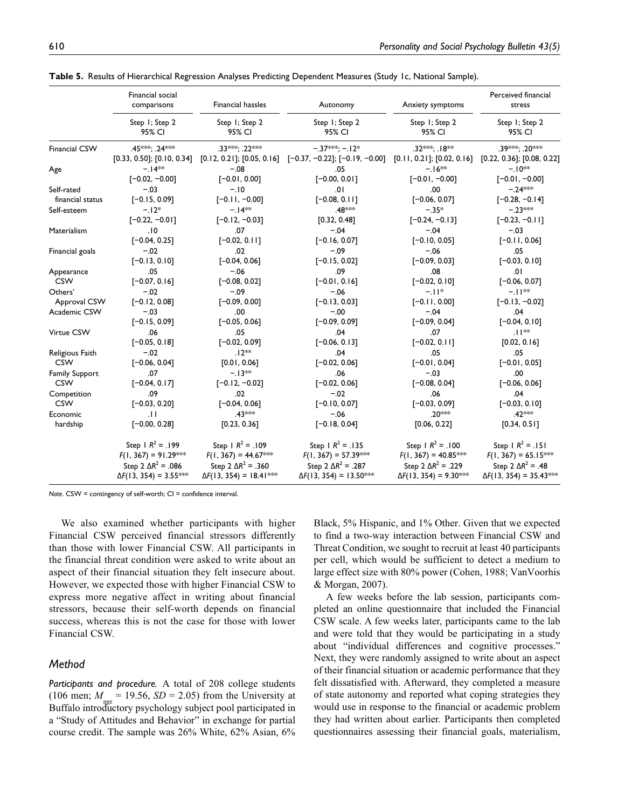|                      | Financial social<br>comparisons                              | <b>Financial hassles</b>                                      | Autonomy                                                                   | Anxiety symptoms                                             | Perceived financial<br>stress                                |
|----------------------|--------------------------------------------------------------|---------------------------------------------------------------|----------------------------------------------------------------------------|--------------------------------------------------------------|--------------------------------------------------------------|
|                      | Step I; Step 2<br>95% CI                                     | Step I; Step 2<br>95% CI                                      | Step I; Step 2<br>95% CI                                                   | Step I; Step 2<br>95% CI                                     | Step I; Step 2<br>95% CI                                     |
| <b>Financial CSW</b> | .45***: .24***                                               | 33***: 22***                                                  | $-37***:-12*$                                                              | .32***: .18**                                                | .39***: .20***                                               |
| Age                  | [0.33, 0.50]; [0.10, 0.34]<br>$-14**$                        | $-.08$                                                        | $[0.12, 0.21]$ ; $[0.05, 0.16]$ $[-0.37, -0.22]$ ; $[-0.19, -0.00]$<br>.05 | [0.11, 0.21]; [0.02, 0.16]<br>$-.16**$                       | [0.22, 0.36]; [0.08, 0.22]<br>$-10**$                        |
|                      | $[-0.02, -0.00]$                                             | $[-0.01, 0.00]$                                               | $[-0.00, 0.01]$                                                            | $[-0.01, -0.00]$                                             | $[-0.01, -0.00]$                                             |
| Self-rated           | $-.03$                                                       | $-.10$                                                        | .01                                                                        | .00                                                          | $-.24***$                                                    |
| financial status     | $[-0.15, 0.09]$                                              | $[-0.11, -0.00]$                                              | $[-0.08, 0.11]$                                                            | $[-0.06, 0.07]$                                              | $[-0.28, -0.14]$                                             |
| Self-esteem          | $-12*$                                                       | $-14**$                                                       | .48***                                                                     | $-.35*$                                                      | $-.23***$                                                    |
|                      | $[-0.22, -0.01]$                                             | $[-0.12, -0.03]$                                              | [0.32, 0.48]                                                               | $[-0.24, -0.13]$                                             | $[-0.23, -0.11]$                                             |
| Materialism          | .10                                                          | .07                                                           | $-.04$                                                                     | $-.04$                                                       | $-.03$                                                       |
|                      | $[-0.04, 0.25]$                                              | $[-0.02, 0.11]$                                               | $[-0.16, 0.07]$                                                            | $[-0.10, 0.05]$                                              | $[-0.11, 0.06]$                                              |
| Financial goals      | $-.02$                                                       | .02                                                           | $-.09$                                                                     | $-.06$                                                       | .05                                                          |
|                      | $[-0.13, 0.10]$                                              | $[-0.04, 0.06]$                                               | $[-0.15, 0.02]$                                                            | $[-0.09, 0.03]$                                              | $[-0.03, 0.10]$                                              |
| Appearance           | .05                                                          | -.06                                                          | .09                                                                        | .08                                                          | .01                                                          |
| <b>CSW</b>           | $[-0.07, 0.16]$                                              | $[-0.08, 0.02]$                                               | $[-0.01, 0.16]$                                                            | $[-0.02, 0.10]$                                              | $[-0.06, 0.07]$                                              |
| Others'              | $-.02$                                                       | $-.09$                                                        | $-.06$                                                                     | $-11*$                                                       | $-11**$                                                      |
| Approval CSW         | $[-0.12, 0.08]$                                              | $[-0.09, 0.00]$                                               | $[-0.13, 0.03]$                                                            | $[-0.11, 0.00]$                                              | $[-0.13, -0.02]$                                             |
| Academic CSW         | $-.03$                                                       | .00                                                           | $-.00$                                                                     | $-.04$                                                       | .04                                                          |
|                      | $[-0.15, 0.09]$                                              | $[-0.05, 0.06]$                                               | $[-0.09, 0.09]$                                                            | $[-0.09, 0.04]$                                              | $[-0.04, 0.10]$                                              |
| Virtue CSW           | .06                                                          | .05                                                           | .04                                                                        | .07                                                          | $11**$                                                       |
|                      | $[-0.05, 0.18]$                                              | $[-0.02, 0.09]$                                               | $[-0.06, 0.13]$                                                            | $[-0.02, 0.11]$                                              | [0.02, 0.16]                                                 |
| Religious Faith      | $-.02$                                                       | $.12**$                                                       | .04                                                                        | .05                                                          | .05                                                          |
| <b>CSW</b>           | $[-0.06, 0.04]$                                              | [0.01, 0.06]                                                  | $[-0.02, 0.06]$                                                            | $[-0.01, 0.04]$                                              | $[-0.01, 0.05]$                                              |
| Family Support       | .07                                                          | $-13**$                                                       | .06                                                                        | $-.03$                                                       | .00                                                          |
| <b>CSW</b>           | $[-0.04, 0.17]$                                              | $[-0.12, -0.02]$                                              | $[-0.02, 0.06]$                                                            | $[-0.08, 0.04]$                                              | $[-0.06, 0.06]$                                              |
| Competition          | .09                                                          | .02                                                           | $-.02$                                                                     | .06                                                          | .04                                                          |
| <b>CSW</b>           | $[-0.03, 0.20]$                                              | $[-0.04, 0.06]$                                               | $[-0.10, 0.07]$                                                            | $[-0.03, 0.09]$                                              | $[-0.03, 0.10]$                                              |
| Economic             | .H                                                           | .43***                                                        | $-.06$                                                                     | .20***                                                       | .42***                                                       |
| hardship             | $[-0.00, 0.28]$                                              | [0.23, 0.36]                                                  | $[-0.18, 0.04]$                                                            | [0.06, 0.22]                                                 | [0.34, 0.51]                                                 |
|                      | Step $1 R^2 = 199$                                           | Step $1 R^2 = .109$                                           | Step $1 R^2 = .135$                                                        | Step $1 R^2 = .100$                                          | Step $1 R^2 = .151$                                          |
|                      | $F(1, 367) = 91.29***$                                       | $F(1, 367) = 44.67$ ***                                       | $F(1, 367) = 57.39***$                                                     | $F(1, 367) = 40.85***$                                       | $F(1, 367) = 65.15$ ***                                      |
|                      | Step 2 $\Delta R^2$ = .086<br>$\Delta F(13, 354) = 3.55$ *** | Step 2 $\Delta R^2$ = .360<br>$\Delta F(13, 354) = 18.41$ *** | Step 2 $\Delta R^2$ = .287<br>$\Delta F(13, 354) = 13.50$ ***              | Step 2 $\Delta R^2$ = .229<br>$\Delta F(13, 354) = 9.30$ *** | Step 2 $\Delta R^2$ = .48<br>$\Delta F(13, 354) = 35.43$ *** |

**Table 5.** Results of Hierarchical Regression Analyses Predicting Dependent Measures (Study 1c, National Sample).

*Note*. CSW = contingency of self-worth; CI = confidence interval.

We also examined whether participants with higher Financial CSW perceived financial stressors differently than those with lower Financial CSW. All participants in the financial threat condition were asked to write about an aspect of their financial situation they felt insecure about. However, we expected those with higher Financial CSW to express more negative affect in writing about financial stressors, because their self-worth depends on financial success, whereas this is not the case for those with lower Financial CSW.

### *Method*

*Participants and procedure.* A total of 208 college students (106 men;  $M_{\text{max}} = 19.56$ ,  $SD = 2.05$ ) from the University at Buffalo introductory psychology subject pool participated in a "Study of Attitudes and Behavior" in exchange for partial course credit. The sample was 26% White, 62% Asian, 6% Black, 5% Hispanic, and 1% Other. Given that we expected to find a two-way interaction between Financial CSW and Threat Condition, we sought to recruit at least 40 participants per cell, which would be sufficient to detect a medium to large effect size with 80% power (Cohen, 1988; VanVoorhis & Morgan, 2007).

A few weeks before the lab session, participants completed an online questionnaire that included the Financial CSW scale. A few weeks later, participants came to the lab and were told that they would be participating in a study about "individual differences and cognitive processes." Next, they were randomly assigned to write about an aspect of their financial situation or academic performance that they felt dissatisfied with. Afterward, they completed a measure of state autonomy and reported what coping strategies they would use in response to the financial or academic problem they had written about earlier. Participants then completed questionnaires assessing their financial goals, materialism,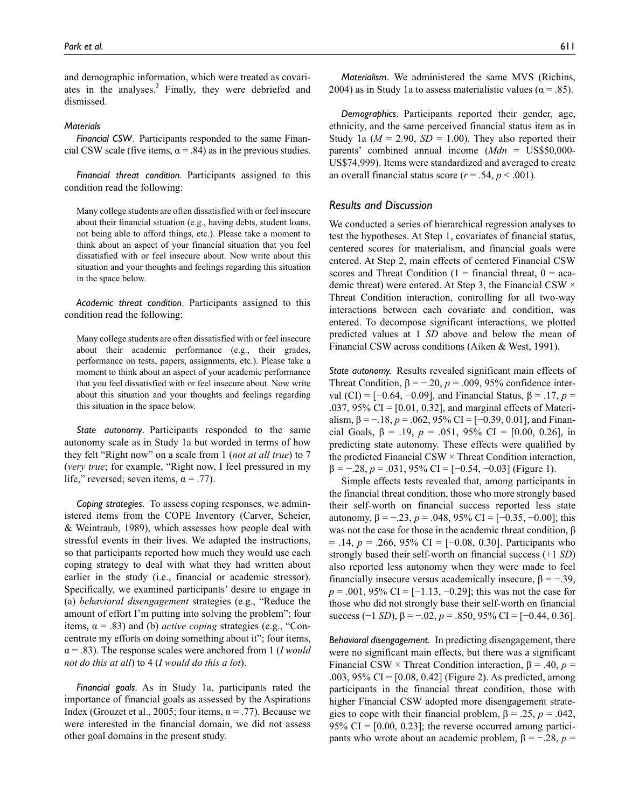and demographic information, which were treated as covariates in the analyses.<sup>3</sup> Finally, they were debriefed and dismissed.

#### *Materials*

*Financial CSW*. Participants responded to the same Financial CSW scale (five items,  $\alpha$  = .84) as in the previous studies.

*Financial threat condition*. Participants assigned to this condition read the following:

Many college students are often dissatisfied with or feel insecure about their financial situation (e.g., having debts, student loans, not being able to afford things, etc.). Please take a moment to think about an aspect of your financial situation that you feel dissatisfied with or feel insecure about. Now write about this situation and your thoughts and feelings regarding this situation in the space below.

*Academic threat condition*. Participants assigned to this condition read the following:

Many college students are often dissatisfied with or feel insecure about their academic performance (e.g., their grades, performance on tests, papers, assignments, etc.). Please take a moment to think about an aspect of your academic performance that you feel dissatisfied with or feel insecure about. Now write about this situation and your thoughts and feelings regarding this situation in the space below.

*State autonomy*. Participants responded to the same autonomy scale as in Study 1a but worded in terms of how they felt "Right now" on a scale from 1 (*not at all true*) to 7 (*very true*; for example, "Right now, I feel pressured in my life," reversed; seven items,  $\alpha = .77$ ).

*Coping strategies*. To assess coping responses, we administered items from the COPE Inventory (Carver, Scheier, & Weintraub, 1989), which assesses how people deal with stressful events in their lives. We adapted the instructions, so that participants reported how much they would use each coping strategy to deal with what they had written about earlier in the study (i.e., financial or academic stressor). Specifically, we examined participants' desire to engage in (a) *behavioral disengagement* strategies (e.g., "Reduce the amount of effort I'm putting into solving the problem"; four items, α = .83) and (b) *active coping* strategies (e.g., "Concentrate my efforts on doing something about it"; four items, α = .83). The response scales were anchored from 1 (*I would not do this at all*) to 4 (*I would do this a lot*).

*Financial goals*. As in Study 1a, participants rated the importance of financial goals as assessed by the Aspirations Index (Grouzet et al., 2005; four items,  $\alpha = .77$ ). Because we were interested in the financial domain, we did not assess other goal domains in the present study.

*Materialism*. We administered the same MVS (Richins, 2004) as in Study 1a to assess materialistic values ( $\alpha = .85$ ).

*Demographics*. Participants reported their gender, age, ethnicity, and the same perceived financial status item as in Study 1a ( $M = 2.90$ ,  $SD = 1.00$ ). They also reported their parents' combined annual income (*Mdn* = US\$50,000- US\$74,999). Items were standardized and averaged to create an overall financial status score ( $r = .54$ ,  $p < .001$ ).

#### *Results and Discussion*

We conducted a series of hierarchical regression analyses to test the hypotheses. At Step 1, covariates of financial status, centered scores for materialism, and financial goals were entered. At Step 2, main effects of centered Financial CSW scores and Threat Condition ( $1 =$  financial threat,  $0 =$  academic threat) were entered. At Step 3, the Financial CSW × Threat Condition interaction, controlling for all two-way interactions between each covariate and condition, was entered. To decompose significant interactions, we plotted predicted values at 1 *SD* above and below the mean of Financial CSW across conditions (Aiken & West, 1991).

*State autonomy.* Results revealed significant main effects of Threat Condition,  $\beta = -0.20$ ,  $p = 0.009$ , 95% confidence interval (CI) = [−0.64, −0.09], and Financial Status, β = .17, *p* = .037,  $95\%$  CI = [0.01, 0.32], and marginal effects of Materialism,  $\beta = -18$ ,  $p = 0.062$ ,  $95\%$  CI = [-0.39, 0.01], and Financial Goals,  $\beta = .19$ ,  $p = .051$ ,  $95\%$  CI = [0.00, 0.26], in predicting state autonomy. These effects were qualified by the predicted Financial CSW  $\times$  Threat Condition interaction, β *=* −.28, *p* = .031, 95% CI = [−0.54, −0.03] (Figure 1).

Simple effects tests revealed that, among participants in the financial threat condition, those who more strongly based their self-worth on financial success reported less state autonomy,  $β = -.23$ ,  $p = .048$ ,  $95%$  CI = [−0.35, −0.00]; this was not the case for those in the academic threat condition, β = .14, *p* = .266, 95% CI = [−0.08, 0.30]. Participants who strongly based their self-worth on financial success (+1 *SD*) also reported less autonomy when they were made to feel financially insecure versus academically insecure,  $\beta = -0.39$ , *p* = .001, 95% CI = [−1.13, −0.29]; this was not the case for those who did not strongly base their self-worth on financial success (−1 *SD*),  $β = -.02$ ,  $p = .850$ , 95% CI = [−0.44, 0.36].

*Behavioral disengagement.* In predicting disengagement, there were no significant main effects, but there was a significant Financial CSW × Threat Condition interaction, β = .40, *p* = .003, 95% CI = [0.08, 0.42] (Figure 2). As predicted, among participants in the financial threat condition, those with higher Financial CSW adopted more disengagement strategies to cope with their financial problem,  $\beta = .25$ ,  $p = .042$ ,  $95\%$  CI = [0.00, 0.23]; the reverse occurred among participants who wrote about an academic problem,  $β = -0.28$ , *p* =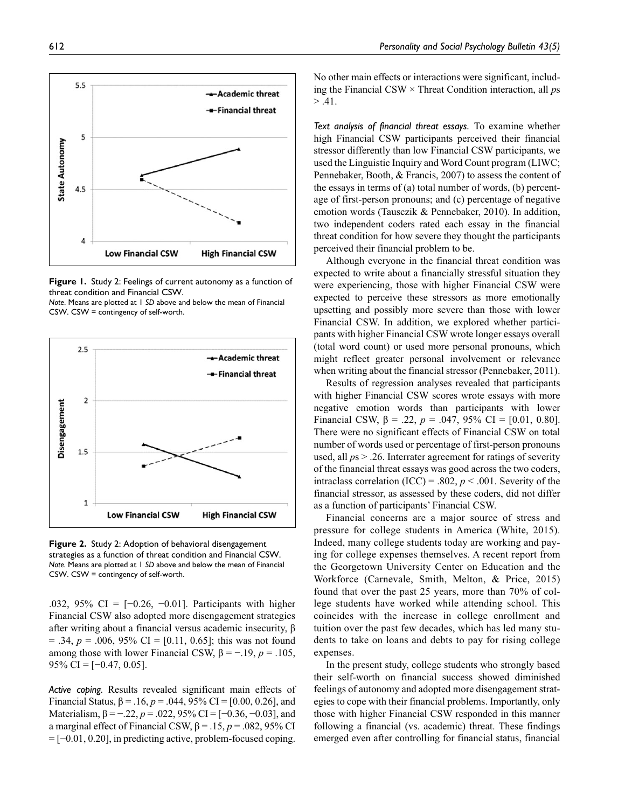

**Figure 1.** Study 2: Feelings of current autonomy as a function of threat condition and Financial CSW.

*Note*. Means are plotted at 1 *SD* above and below the mean of Financial CSW. CSW = contingency of self-worth.



**Figure 2.** Study 2: Adoption of behavioral disengagement strategies as a function of threat condition and Financial CSW. *Note.* Means are plotted at 1 *SD* above and below the mean of Financial CSW. CSW = contingency of self-worth.

.032, 95% CI =  $[-0.26, -0.01]$ . Participants with higher Financial CSW also adopted more disengagement strategies after writing about a financial versus academic insecurity, β  $= .34, p = .006, 95\% \text{ CI} = [0.11, 0.65];$  this was not found among those with lower Financial CSW,  $\beta = -19$ ,  $p = 0.105$ ,  $95\%$  CI = [-0.47, 0.05].

*Active coping.* Results revealed significant main effects of Financial Status,  $β = .16$ ,  $p = .044$ ,  $95%$  CI = [0.00, 0.26], and Materialism,  $\beta = -.22$ ,  $p = .022$ , 95% CI = [-0.36, -0.03], and a marginal effect of Financial CSW,  $β = .15$ ,  $p = .082$ , 95% CI = [−0.01, 0.20], in predicting active, problem-focused coping.

No other main effects or interactions were significant, including the Financial CSW × Threat Condition interaction, all *p*s  $> .41.$ 

*Text analysis of financial threat essays.* To examine whether high Financial CSW participants perceived their financial stressor differently than low Financial CSW participants, we used the Linguistic Inquiry and Word Count program (LIWC; Pennebaker, Booth, & Francis, 2007) to assess the content of the essays in terms of (a) total number of words, (b) percentage of first-person pronouns; and (c) percentage of negative emotion words (Tausczik & Pennebaker, 2010). In addition, two independent coders rated each essay in the financial threat condition for how severe they thought the participants perceived their financial problem to be.

Although everyone in the financial threat condition was expected to write about a financially stressful situation they were experiencing, those with higher Financial CSW were expected to perceive these stressors as more emotionally upsetting and possibly more severe than those with lower Financial CSW. In addition, we explored whether participants with higher Financial CSW wrote longer essays overall (total word count) or used more personal pronouns, which might reflect greater personal involvement or relevance when writing about the financial stressor (Pennebaker, 2011).

Results of regression analyses revealed that participants with higher Financial CSW scores wrote essays with more negative emotion words than participants with lower Financial CSW,  $β = .22$ ,  $p = .047$ , 95% CI = [0.01, 0.80]. There were no significant effects of Financial CSW on total number of words used or percentage of first-person pronouns used, all *p*s > .26. Interrater agreement for ratings of severity of the financial threat essays was good across the two coders, intraclass correlation (ICC) = .802,  $p < .001$ . Severity of the financial stressor, as assessed by these coders, did not differ as a function of participants' Financial CSW.

Financial concerns are a major source of stress and pressure for college students in America (White, 2015). Indeed, many college students today are working and paying for college expenses themselves. A recent report from the Georgetown University Center on Education and the Workforce (Carnevale, Smith, Melton, & Price, 2015) found that over the past 25 years, more than 70% of college students have worked while attending school. This coincides with the increase in college enrollment and tuition over the past few decades, which has led many students to take on loans and debts to pay for rising college expenses.

In the present study, college students who strongly based their self-worth on financial success showed diminished feelings of autonomy and adopted more disengagement strategies to cope with their financial problems. Importantly, only those with higher Financial CSW responded in this manner following a financial (vs. academic) threat. These findings emerged even after controlling for financial status, financial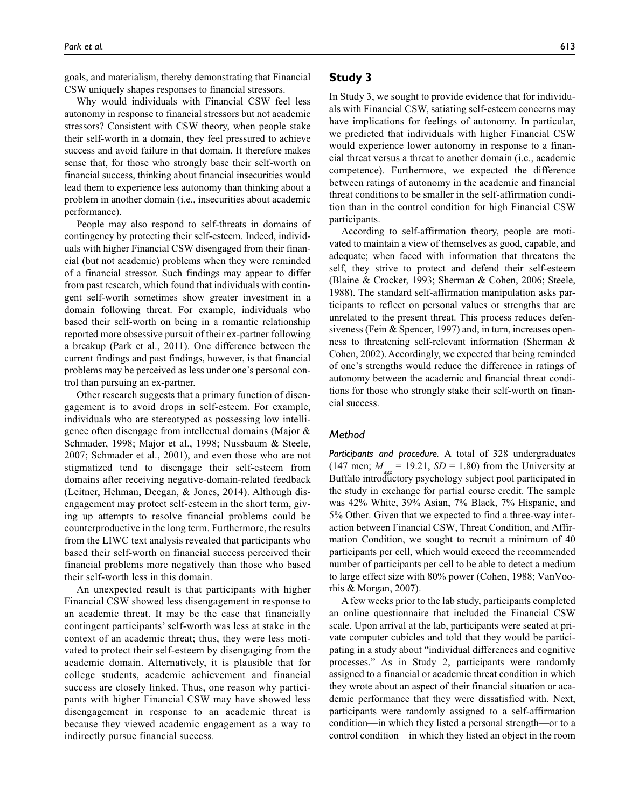goals, and materialism, thereby demonstrating that Financial CSW uniquely shapes responses to financial stressors.

Why would individuals with Financial CSW feel less autonomy in response to financial stressors but not academic stressors? Consistent with CSW theory, when people stake their self-worth in a domain, they feel pressured to achieve success and avoid failure in that domain. It therefore makes sense that, for those who strongly base their self-worth on financial success, thinking about financial insecurities would lead them to experience less autonomy than thinking about a problem in another domain (i.e., insecurities about academic performance).

People may also respond to self-threats in domains of contingency by protecting their self-esteem. Indeed, individuals with higher Financial CSW disengaged from their financial (but not academic) problems when they were reminded of a financial stressor. Such findings may appear to differ from past research, which found that individuals with contingent self-worth sometimes show greater investment in a domain following threat. For example, individuals who based their self-worth on being in a romantic relationship reported more obsessive pursuit of their ex-partner following a breakup (Park et al., 2011). One difference between the current findings and past findings, however, is that financial problems may be perceived as less under one's personal control than pursuing an ex-partner.

Other research suggests that a primary function of disengagement is to avoid drops in self-esteem. For example, individuals who are stereotyped as possessing low intelligence often disengage from intellectual domains (Major & Schmader, 1998; Major et al., 1998; Nussbaum & Steele, 2007; Schmader et al., 2001), and even those who are not stigmatized tend to disengage their self-esteem from domains after receiving negative-domain-related feedback (Leitner, Hehman, Deegan, & Jones, 2014). Although disengagement may protect self-esteem in the short term, giving up attempts to resolve financial problems could be counterproductive in the long term. Furthermore, the results from the LIWC text analysis revealed that participants who based their self-worth on financial success perceived their financial problems more negatively than those who based their self-worth less in this domain.

An unexpected result is that participants with higher Financial CSW showed less disengagement in response to an academic threat. It may be the case that financially contingent participants' self-worth was less at stake in the context of an academic threat; thus, they were less motivated to protect their self-esteem by disengaging from the academic domain. Alternatively, it is plausible that for college students, academic achievement and financial success are closely linked. Thus, one reason why participants with higher Financial CSW may have showed less disengagement in response to an academic threat is because they viewed academic engagement as a way to indirectly pursue financial success.

## **Study 3**

In Study 3, we sought to provide evidence that for individuals with Financial CSW, satiating self-esteem concerns may have implications for feelings of autonomy. In particular, we predicted that individuals with higher Financial CSW would experience lower autonomy in response to a financial threat versus a threat to another domain (i.e., academic competence). Furthermore, we expected the difference between ratings of autonomy in the academic and financial threat conditions to be smaller in the self-affirmation condition than in the control condition for high Financial CSW participants.

According to self-affirmation theory, people are motivated to maintain a view of themselves as good, capable, and adequate; when faced with information that threatens the self, they strive to protect and defend their self-esteem (Blaine & Crocker, 1993; Sherman & Cohen, 2006; Steele, 1988). The standard self-affirmation manipulation asks participants to reflect on personal values or strengths that are unrelated to the present threat. This process reduces defensiveness (Fein & Spencer, 1997) and, in turn, increases openness to threatening self-relevant information (Sherman & Cohen, 2002). Accordingly, we expected that being reminded of one's strengths would reduce the difference in ratings of autonomy between the academic and financial threat conditions for those who strongly stake their self-worth on financial success.

### *Method*

*Participants and procedure.* A total of 328 undergraduates  $(147 \text{ men}; M_{\text{max}} = 19.21, SD = 1.80)$  from the University at Buffalo introductory psychology subject pool participated in the study in exchange for partial course credit. The sample was 42% White, 39% Asian, 7% Black, 7% Hispanic, and 5% Other. Given that we expected to find a three-way interaction between Financial CSW, Threat Condition, and Affirmation Condition, we sought to recruit a minimum of 40 participants per cell, which would exceed the recommended number of participants per cell to be able to detect a medium to large effect size with 80% power (Cohen, 1988; VanVoorhis & Morgan, 2007).

A few weeks prior to the lab study, participants completed an online questionnaire that included the Financial CSW scale. Upon arrival at the lab, participants were seated at private computer cubicles and told that they would be participating in a study about "individual differences and cognitive processes." As in Study 2, participants were randomly assigned to a financial or academic threat condition in which they wrote about an aspect of their financial situation or academic performance that they were dissatisfied with. Next, participants were randomly assigned to a self-affirmation condition—in which they listed a personal strength—or to a control condition—in which they listed an object in the room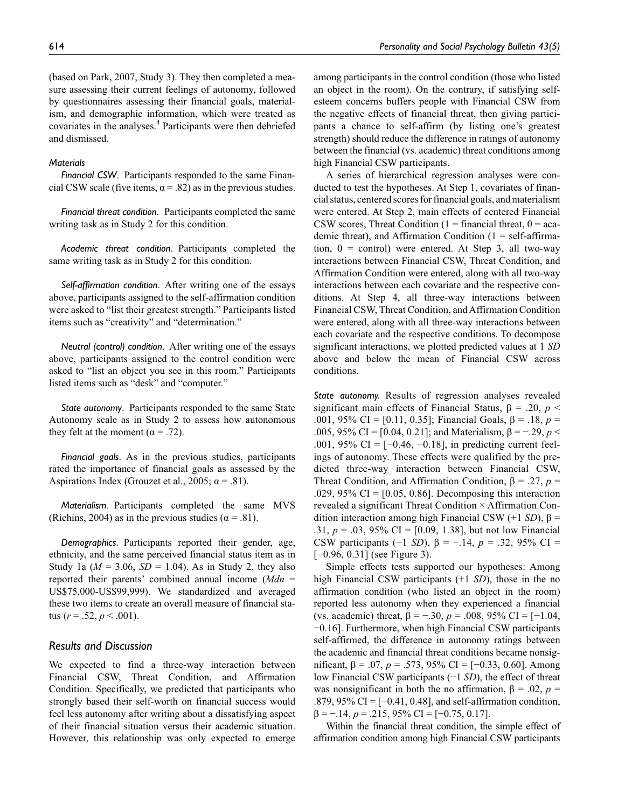(based on Park, 2007, Study 3). They then completed a measure assessing their current feelings of autonomy, followed by questionnaires assessing their financial goals, materialism, and demographic information, which were treated as covariates in the analyses.<sup>4</sup> Participants were then debriefed and dismissed.

#### *Materials*

*Financial CSW*. Participants responded to the same Financial CSW scale (five items,  $\alpha$  = .82) as in the previous studies.

*Financial threat condition*. Participants completed the same writing task as in Study 2 for this condition.

*Academic threat condition*. Participants completed the same writing task as in Study 2 for this condition.

*Self-affirmation condition*. After writing one of the essays above, participants assigned to the self-affirmation condition were asked to "list their greatest strength." Participants listed items such as "creativity" and "determination."

*Neutral (control) condition*. After writing one of the essays above, participants assigned to the control condition were asked to "list an object you see in this room." Participants listed items such as "desk" and "computer."

*State autonomy*. Participants responded to the same State Autonomy scale as in Study 2 to assess how autonomous they felt at the moment ( $\alpha$  = .72).

*Financial goals*. As in the previous studies, participants rated the importance of financial goals as assessed by the Aspirations Index (Grouzet et al., 2005;  $\alpha$  = .81).

*Materialism*. Participants completed the same MVS (Richins, 2004) as in the previous studies ( $\alpha$  = .81).

*Demographics*. Participants reported their gender, age, ethnicity, and the same perceived financial status item as in Study 1a ( $M = 3.06$ ,  $SD = 1.04$ ). As in Study 2, they also reported their parents' combined annual income (*Mdn* = US\$75,000-US\$99,999). We standardized and averaged these two items to create an overall measure of financial status ( $r = .52$ ,  $p < .001$ ).

## *Results and Discussion*

We expected to find a three-way interaction between Financial CSW, Threat Condition, and Affirmation Condition. Specifically, we predicted that participants who strongly based their self-worth on financial success would feel less autonomy after writing about a dissatisfying aspect of their financial situation versus their academic situation. However, this relationship was only expected to emerge

among participants in the control condition (those who listed an object in the room). On the contrary, if satisfying selfesteem concerns buffers people with Financial CSW from the negative effects of financial threat, then giving participants a chance to self-affirm (by listing one's greatest strength) should reduce the difference in ratings of autonomy between the financial (vs. academic) threat conditions among high Financial CSW participants.

A series of hierarchical regression analyses were conducted to test the hypotheses. At Step 1, covariates of financial status, centered scores for financial goals, and materialism were entered. At Step 2, main effects of centered Financial CSW scores, Threat Condition (1 = financial threat,  $0 = aca$ demic threat), and Affirmation Condition  $(1 = \text{self-affirma} - \text{left}$ tion,  $0 =$  control) were entered. At Step 3, all two-way interactions between Financial CSW, Threat Condition, and Affirmation Condition were entered, along with all two-way interactions between each covariate and the respective conditions. At Step 4, all three-way interactions between Financial CSW, Threat Condition, and Affirmation Condition were entered, along with all three-way interactions between each covariate and the respective conditions. To decompose significant interactions, we plotted predicted values at 1 *SD* above and below the mean of Financial CSW across conditions.

*State autonomy.* Results of regression analyses revealed significant main effects of Financial Status,  $\beta = .20$ ,  $p <$ .001, 95% CI = [0.11, 0.35]; Financial Goals, β = .18, *p* = .005, 95% CI = [0.04, 0.21]; and Materialism, β = −.29, *p* < .001, 95% CI =  $[-0.46, -0.18]$ , in predicting current feelings of autonomy. These effects were qualified by the predicted three-way interaction between Financial CSW, Threat Condition, and Affirmation Condition, β = .27, *p* = .029, 95% CI = [0.05, 0.86]. Decomposing this interaction revealed a significant Threat Condition × Affirmation Condition interaction among high Financial CSW (+1 *SD*), β = .31, *p* = .03, 95% CI = [0.09, 1.38], but not low Financial CSW participants (−1 *SD*),  $β = -.14$ ,  $p = .32$ , 95% CI = [−0.96, 0.31] (see Figure 3).

Simple effects tests supported our hypotheses: Among high Financial CSW participants (+1 *SD*), those in the no affirmation condition (who listed an object in the room) reported less autonomy when they experienced a financial (vs. academic) threat,  $\beta = -.30$ ,  $p = .008$ , 95% CI = [-1.04, −0.16]. Furthermore, when high Financial CSW participants self-affirmed, the difference in autonomy ratings between the academic and financial threat conditions became nonsignificant, β = .07, *p* = .573, 95% CI = [−0.33, 0.60]. Among low Financial CSW participants (−1 *SD*), the effect of threat was nonsignificant in both the no affirmation,  $\beta = .02$ ,  $p =$ .879, 95% CI = [−0.41, 0.48], and self-affirmation condition,  $\beta = -.14$ ,  $p = .215$ ,  $95\%$  CI = [-0.75, 0.17].

Within the financial threat condition, the simple effect of affirmation condition among high Financial CSW participants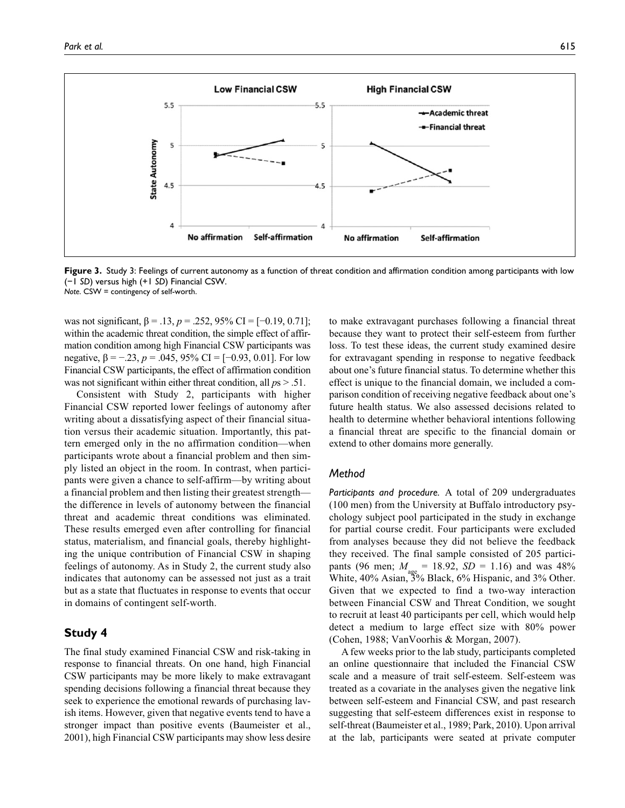

**Figure 3.** Study 3: Feelings of current autonomy as a function of threat condition and affirmation condition among participants with low (−1 *SD*) versus high (+1 *SD*) Financial CSW. *Note*. CSW = contingency of self-worth.

was not significant, β = .13,  $p = .252$ , 95% CI = [−0.19, 0.71]; within the academic threat condition, the simple effect of affirmation condition among high Financial CSW participants was negative,  $β = -.23$ ,  $p = .045$ , 95% CI = [-0.93, 0.01]. For low Financial CSW participants, the effect of affirmation condition was not significant within either threat condition, all *p*s > .51.

Consistent with Study 2, participants with higher Financial CSW reported lower feelings of autonomy after writing about a dissatisfying aspect of their financial situation versus their academic situation. Importantly, this pattern emerged only in the no affirmation condition—when participants wrote about a financial problem and then simply listed an object in the room. In contrast, when participants were given a chance to self-affirm—by writing about a financial problem and then listing their greatest strength the difference in levels of autonomy between the financial threat and academic threat conditions was eliminated. These results emerged even after controlling for financial status, materialism, and financial goals, thereby highlighting the unique contribution of Financial CSW in shaping feelings of autonomy. As in Study 2, the current study also indicates that autonomy can be assessed not just as a trait but as a state that fluctuates in response to events that occur in domains of contingent self-worth.

## **Study 4**

The final study examined Financial CSW and risk-taking in response to financial threats. On one hand, high Financial CSW participants may be more likely to make extravagant spending decisions following a financial threat because they seek to experience the emotional rewards of purchasing lavish items. However, given that negative events tend to have a stronger impact than positive events (Baumeister et al., 2001), high Financial CSW participants may show less desire to make extravagant purchases following a financial threat because they want to protect their self-esteem from further loss. To test these ideas, the current study examined desire for extravagant spending in response to negative feedback about one's future financial status. To determine whether this effect is unique to the financial domain, we included a comparison condition of receiving negative feedback about one's future health status. We also assessed decisions related to health to determine whether behavioral intentions following a financial threat are specific to the financial domain or extend to other domains more generally.

#### *Method*

*Participants and procedure.* A total of 209 undergraduates (100 men) from the University at Buffalo introductory psychology subject pool participated in the study in exchange for partial course credit. Four participants were excluded from analyses because they did not believe the feedback they received. The final sample consisted of 205 participants (96 men;  $M_{\text{age}} = 18.92$ ,  $SD = 1.16$ ) and was 48% White, 40% Asian, 3% Black, 6% Hispanic, and 3% Other. Given that we expected to find a two-way interaction between Financial CSW and Threat Condition, we sought to recruit at least 40 participants per cell, which would help detect a medium to large effect size with 80% power (Cohen, 1988; VanVoorhis & Morgan, 2007).

A few weeks prior to the lab study, participants completed an online questionnaire that included the Financial CSW scale and a measure of trait self-esteem. Self-esteem was treated as a covariate in the analyses given the negative link between self-esteem and Financial CSW, and past research suggesting that self-esteem differences exist in response to self-threat (Baumeister et al., 1989; Park, 2010). Upon arrival at the lab, participants were seated at private computer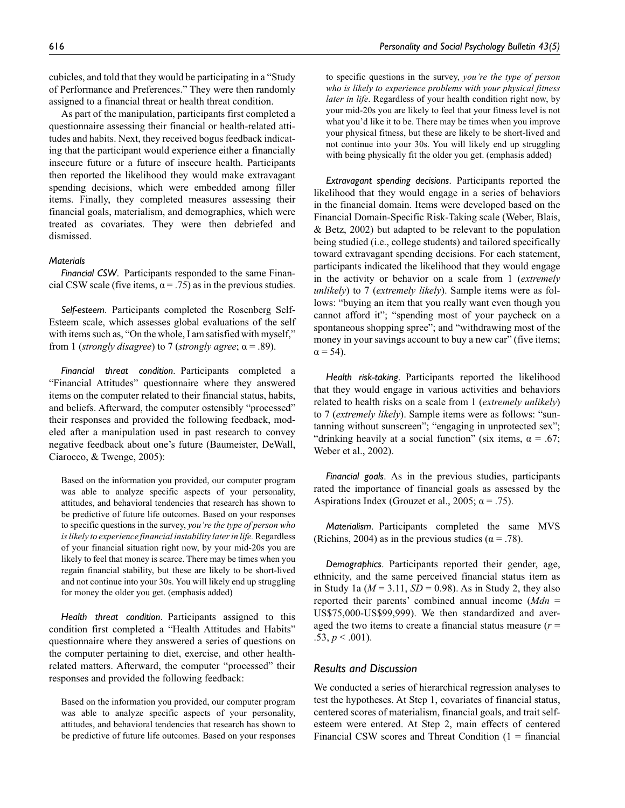cubicles, and told that they would be participating in a "Study of Performance and Preferences." They were then randomly assigned to a financial threat or health threat condition.

As part of the manipulation, participants first completed a questionnaire assessing their financial or health-related attitudes and habits. Next, they received bogus feedback indicating that the participant would experience either a financially insecure future or a future of insecure health. Participants then reported the likelihood they would make extravagant spending decisions, which were embedded among filler items. Finally, they completed measures assessing their financial goals, materialism, and demographics, which were treated as covariates. They were then debriefed and dismissed.

#### *Materials*

*Financial CSW*. Participants responded to the same Financial CSW scale (five items,  $\alpha = .75$ ) as in the previous studies.

*Self-esteem*. Participants completed the Rosenberg Self-Esteem scale, which assesses global evaluations of the self with items such as, "On the whole, I am satisfied with myself," from 1 (*strongly disagree*) to 7 (*strongly agree*;  $\alpha$  = .89).

*Financial threat condition*. Participants completed a "Financial Attitudes" questionnaire where they answered items on the computer related to their financial status, habits, and beliefs. Afterward, the computer ostensibly "processed" their responses and provided the following feedback, modeled after a manipulation used in past research to convey negative feedback about one's future (Baumeister, DeWall, Ciarocco, & Twenge, 2005):

Based on the information you provided, our computer program was able to analyze specific aspects of your personality, attitudes, and behavioral tendencies that research has shown to be predictive of future life outcomes. Based on your responses to specific questions in the survey, *you're the type of person who is likely to experience financial instability later in life.* Regardless of your financial situation right now, by your mid-20s you are likely to feel that money is scarce. There may be times when you regain financial stability, but these are likely to be short-lived and not continue into your 30s. You will likely end up struggling for money the older you get. (emphasis added)

*Health threat condition*. Participants assigned to this condition first completed a "Health Attitudes and Habits" questionnaire where they answered a series of questions on the computer pertaining to diet, exercise, and other healthrelated matters. Afterward, the computer "processed" their responses and provided the following feedback:

Based on the information you provided, our computer program was able to analyze specific aspects of your personality, attitudes, and behavioral tendencies that research has shown to be predictive of future life outcomes. Based on your responses to specific questions in the survey, *you're the type of person who is likely to experience problems with your physical fitness later in life*. Regardless of your health condition right now, by your mid-20s you are likely to feel that your fitness level is not what you'd like it to be. There may be times when you improve your physical fitness, but these are likely to be short-lived and not continue into your 30s. You will likely end up struggling with being physically fit the older you get. (emphasis added)

*Extravagant spending decisions*. Participants reported the likelihood that they would engage in a series of behaviors in the financial domain. Items were developed based on the Financial Domain-Specific Risk-Taking scale (Weber, Blais, & Betz, 2002) but adapted to be relevant to the population being studied (i.e., college students) and tailored specifically toward extravagant spending decisions. For each statement, participants indicated the likelihood that they would engage in the activity or behavior on a scale from 1 (*extremely unlikely*) to 7 (*extremely likely*). Sample items were as follows: "buying an item that you really want even though you cannot afford it"; "spending most of your paycheck on a spontaneous shopping spree"; and "withdrawing most of the money in your savings account to buy a new car" (five items;  $\alpha$  = 54).

*Health risk-taking*. Participants reported the likelihood that they would engage in various activities and behaviors related to health risks on a scale from 1 (*extremely unlikely*) to 7 (*extremely likely*). Sample items were as follows: "suntanning without sunscreen"; "engaging in unprotected sex"; "drinking heavily at a social function" (six items,  $\alpha = .67$ ; Weber et al., 2002).

*Financial goals*. As in the previous studies, participants rated the importance of financial goals as assessed by the Aspirations Index (Grouzet et al., 2005;  $\alpha = .75$ ).

*Materialism*. Participants completed the same MVS (Richins, 2004) as in the previous studies ( $\alpha$  = .78).

*Demographics*. Participants reported their gender, age, ethnicity, and the same perceived financial status item as in Study 1a (*M* = 3.11, *SD* = 0.98). As in Study 2, they also reported their parents' combined annual income (*Mdn* = US\$75,000-US\$99,999). We then standardized and averaged the two items to create a financial status measure (*r* =  $.53, p \leq .001$ ).

#### *Results and Discussion*

We conducted a series of hierarchical regression analyses to test the hypotheses. At Step 1, covariates of financial status, centered scores of materialism, financial goals, and trait selfesteem were entered. At Step 2, main effects of centered Financial CSW scores and Threat Condition  $(1 - \text{financial})$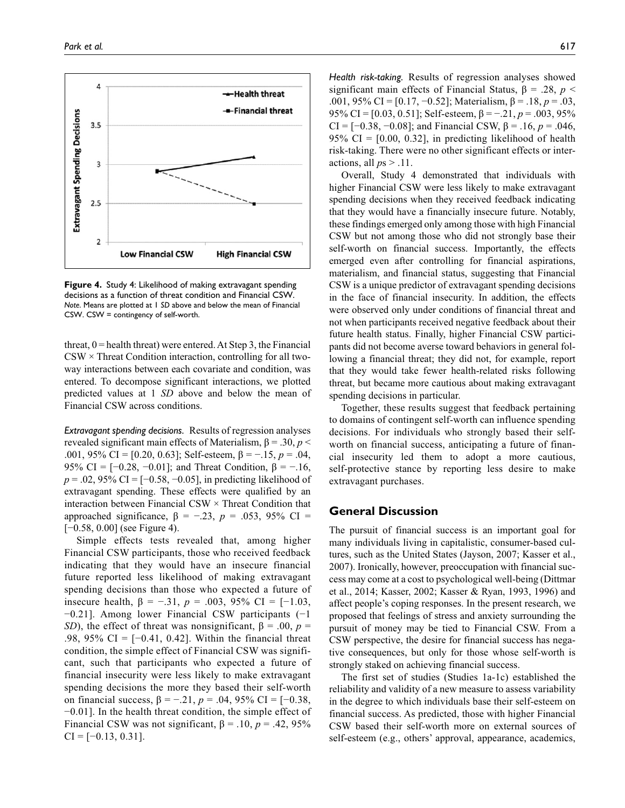

**Figure 4.** Study 4: Likelihood of making extravagant spending decisions as a function of threat condition and Financial CSW. *Note*. Means are plotted at 1 *SD* above and below the mean of Financial CSW. CSW = contingency of self-worth.

threat,  $0$  = health threat) were entered. At Step 3, the Financial  $CSW \times$  Threat Condition interaction, controlling for all twoway interactions between each covariate and condition, was entered. To decompose significant interactions, we plotted predicted values at 1 *SD* above and below the mean of Financial CSW across conditions.

*Extravagant spending decisions.* Results of regression analyses revealed significant main effects of Materialism, β = .30, *p* < .001, 95% CI = [0.20, 0.63]; Self-esteem, β = −.15, *p* = .04, 95% CI =  $[-0.28, -0.01]$ ; and Threat Condition,  $β = -.16$ , *p* = .02, 95% CI = [−0.58, −0.05], in predicting likelihood of extravagant spending. These effects were qualified by an interaction between Financial CSW  $\times$  Threat Condition that approached significance,  $β = -.23$ ,  $p = .053$ , 95% CI = [−0.58, 0.00] (see Figure 4).

Simple effects tests revealed that, among higher Financial CSW participants, those who received feedback indicating that they would have an insecure financial future reported less likelihood of making extravagant spending decisions than those who expected a future of insecure health, β = −.31, *p* = .003, 95% CI = [−1.03, −0.21]. Among lower Financial CSW participants (−1 *SD*), the effect of threat was nonsignificant,  $\beta = .00$ ,  $p =$ .98, 95% CI = [−0.41, 0.42]. Within the financial threat condition, the simple effect of Financial CSW was significant, such that participants who expected a future of financial insecurity were less likely to make extravagant spending decisions the more they based their self-worth on financial success, β = −.21, *p* = .04, 95% CI = [−0.38, −0.01]. In the health threat condition, the simple effect of Financial CSW was not significant,  $β = .10, p = .42, 95%$  $CI = [-0.13, 0.31].$ 

*Health risk-taking.* Results of regression analyses showed significant main effects of Financial Status,  $\beta = .28$ ,  $p <$ .001, 95% CI = [0.17, −0.52]; Materialism, β = .18, *p* = .03, 95% CI = [0.03, 0.51]; Self-esteem, β = −.21, *p* = .003, 95% CI =  $[-0.38, -0.08]$ ; and Financial CSW,  $\beta = .16$ ,  $p = .046$ , 95% CI =  $[0.00, 0.32]$ , in predicting likelihood of health risk-taking. There were no other significant effects or interactions, all  $ps > .11$ .

Overall, Study 4 demonstrated that individuals with higher Financial CSW were less likely to make extravagant spending decisions when they received feedback indicating that they would have a financially insecure future. Notably, these findings emerged only among those with high Financial CSW but not among those who did not strongly base their self-worth on financial success. Importantly, the effects emerged even after controlling for financial aspirations, materialism, and financial status, suggesting that Financial CSW is a unique predictor of extravagant spending decisions in the face of financial insecurity. In addition, the effects were observed only under conditions of financial threat and not when participants received negative feedback about their future health status. Finally, higher Financial CSW participants did not become averse toward behaviors in general following a financial threat; they did not, for example, report that they would take fewer health-related risks following threat, but became more cautious about making extravagant spending decisions in particular.

Together, these results suggest that feedback pertaining to domains of contingent self-worth can influence spending decisions. For individuals who strongly based their selfworth on financial success, anticipating a future of financial insecurity led them to adopt a more cautious, self-protective stance by reporting less desire to make extravagant purchases.

## **General Discussion**

The pursuit of financial success is an important goal for many individuals living in capitalistic, consumer-based cultures, such as the United States (Jayson, 2007; Kasser et al., 2007). Ironically, however, preoccupation with financial success may come at a cost to psychological well-being (Dittmar et al., 2014; Kasser, 2002; Kasser & Ryan, 1993, 1996) and affect people's coping responses. In the present research, we proposed that feelings of stress and anxiety surrounding the pursuit of money may be tied to Financial CSW. From a CSW perspective, the desire for financial success has negative consequences, but only for those whose self-worth is strongly staked on achieving financial success.

The first set of studies (Studies 1a-1c) established the reliability and validity of a new measure to assess variability in the degree to which individuals base their self-esteem on financial success. As predicted, those with higher Financial CSW based their self-worth more on external sources of self-esteem (e.g., others' approval, appearance, academics,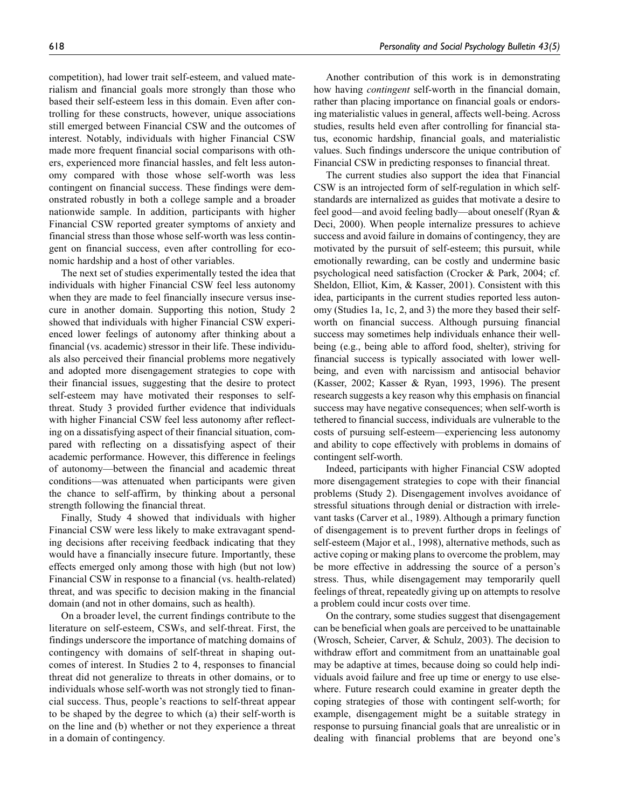competition), had lower trait self-esteem, and valued materialism and financial goals more strongly than those who based their self-esteem less in this domain. Even after controlling for these constructs, however, unique associations still emerged between Financial CSW and the outcomes of interest. Notably, individuals with higher Financial CSW made more frequent financial social comparisons with others, experienced more financial hassles, and felt less autonomy compared with those whose self-worth was less contingent on financial success. These findings were demonstrated robustly in both a college sample and a broader nationwide sample. In addition, participants with higher Financial CSW reported greater symptoms of anxiety and financial stress than those whose self-worth was less contingent on financial success, even after controlling for economic hardship and a host of other variables.

The next set of studies experimentally tested the idea that individuals with higher Financial CSW feel less autonomy when they are made to feel financially insecure versus insecure in another domain. Supporting this notion, Study 2 showed that individuals with higher Financial CSW experienced lower feelings of autonomy after thinking about a financial (vs. academic) stressor in their life. These individuals also perceived their financial problems more negatively and adopted more disengagement strategies to cope with their financial issues, suggesting that the desire to protect self-esteem may have motivated their responses to selfthreat. Study 3 provided further evidence that individuals with higher Financial CSW feel less autonomy after reflecting on a dissatisfying aspect of their financial situation, compared with reflecting on a dissatisfying aspect of their academic performance. However, this difference in feelings of autonomy—between the financial and academic threat conditions—was attenuated when participants were given the chance to self-affirm, by thinking about a personal strength following the financial threat.

Finally, Study 4 showed that individuals with higher Financial CSW were less likely to make extravagant spending decisions after receiving feedback indicating that they would have a financially insecure future. Importantly, these effects emerged only among those with high (but not low) Financial CSW in response to a financial (vs. health-related) threat, and was specific to decision making in the financial domain (and not in other domains, such as health).

On a broader level, the current findings contribute to the literature on self-esteem, CSWs, and self-threat. First, the findings underscore the importance of matching domains of contingency with domains of self-threat in shaping outcomes of interest. In Studies 2 to 4, responses to financial threat did not generalize to threats in other domains, or to individuals whose self-worth was not strongly tied to financial success. Thus, people's reactions to self-threat appear to be shaped by the degree to which (a) their self-worth is on the line and (b) whether or not they experience a threat in a domain of contingency.

Another contribution of this work is in demonstrating how having *contingent* self-worth in the financial domain, rather than placing importance on financial goals or endorsing materialistic values in general, affects well-being. Across studies, results held even after controlling for financial status, economic hardship, financial goals, and materialistic values. Such findings underscore the unique contribution of Financial CSW in predicting responses to financial threat.

The current studies also support the idea that Financial CSW is an introjected form of self-regulation in which selfstandards are internalized as guides that motivate a desire to feel good—and avoid feeling badly—about oneself (Ryan & Deci, 2000). When people internalize pressures to achieve success and avoid failure in domains of contingency, they are motivated by the pursuit of self-esteem; this pursuit, while emotionally rewarding, can be costly and undermine basic psychological need satisfaction (Crocker & Park, 2004; cf. Sheldon, Elliot, Kim, & Kasser, 2001). Consistent with this idea, participants in the current studies reported less autonomy (Studies 1a, 1c, 2, and 3) the more they based their selfworth on financial success. Although pursuing financial success may sometimes help individuals enhance their wellbeing (e.g., being able to afford food, shelter), striving for financial success is typically associated with lower wellbeing, and even with narcissism and antisocial behavior (Kasser, 2002; Kasser & Ryan, 1993, 1996). The present research suggests a key reason why this emphasis on financial success may have negative consequences; when self-worth is tethered to financial success, individuals are vulnerable to the costs of pursuing self-esteem—experiencing less autonomy and ability to cope effectively with problems in domains of contingent self-worth.

Indeed, participants with higher Financial CSW adopted more disengagement strategies to cope with their financial problems (Study 2). Disengagement involves avoidance of stressful situations through denial or distraction with irrelevant tasks (Carver et al., 1989). Although a primary function of disengagement is to prevent further drops in feelings of self-esteem (Major et al., 1998), alternative methods, such as active coping or making plans to overcome the problem, may be more effective in addressing the source of a person's stress. Thus, while disengagement may temporarily quell feelings of threat, repeatedly giving up on attempts to resolve a problem could incur costs over time.

On the contrary, some studies suggest that disengagement can be beneficial when goals are perceived to be unattainable (Wrosch, Scheier, Carver, & Schulz, 2003). The decision to withdraw effort and commitment from an unattainable goal may be adaptive at times, because doing so could help individuals avoid failure and free up time or energy to use elsewhere. Future research could examine in greater depth the coping strategies of those with contingent self-worth; for example, disengagement might be a suitable strategy in response to pursuing financial goals that are unrealistic or in dealing with financial problems that are beyond one's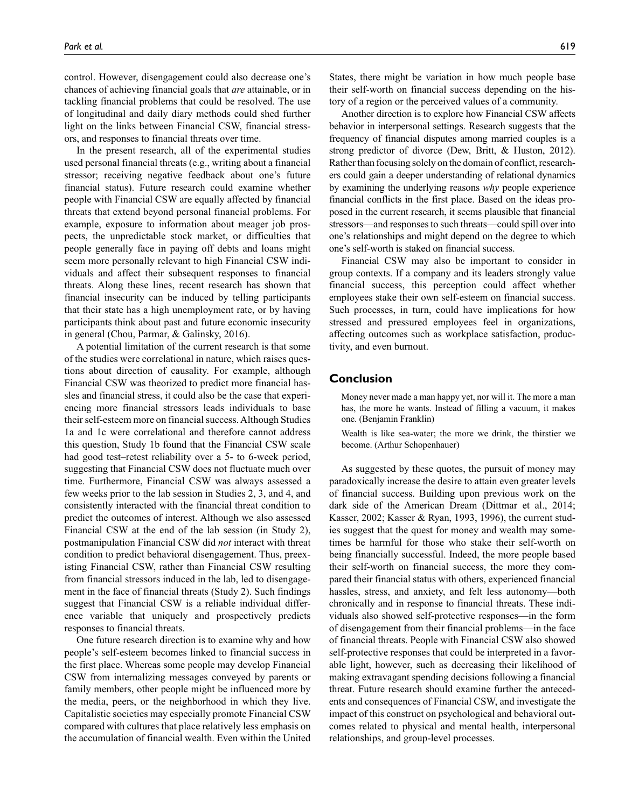control. However, disengagement could also decrease one's chances of achieving financial goals that *are* attainable, or in tackling financial problems that could be resolved. The use of longitudinal and daily diary methods could shed further light on the links between Financial CSW, financial stressors, and responses to financial threats over time.

In the present research, all of the experimental studies used personal financial threats (e.g., writing about a financial stressor; receiving negative feedback about one's future financial status). Future research could examine whether people with Financial CSW are equally affected by financial threats that extend beyond personal financial problems. For example, exposure to information about meager job prospects, the unpredictable stock market, or difficulties that people generally face in paying off debts and loans might seem more personally relevant to high Financial CSW individuals and affect their subsequent responses to financial threats. Along these lines, recent research has shown that financial insecurity can be induced by telling participants that their state has a high unemployment rate, or by having participants think about past and future economic insecurity in general (Chou, Parmar, & Galinsky, 2016).

A potential limitation of the current research is that some of the studies were correlational in nature, which raises questions about direction of causality. For example, although Financial CSW was theorized to predict more financial hassles and financial stress, it could also be the case that experiencing more financial stressors leads individuals to base their self-esteem more on financial success. Although Studies 1a and 1c were correlational and therefore cannot address this question, Study 1b found that the Financial CSW scale had good test–retest reliability over a 5- to 6-week period, suggesting that Financial CSW does not fluctuate much over time. Furthermore, Financial CSW was always assessed a few weeks prior to the lab session in Studies 2, 3, and 4, and consistently interacted with the financial threat condition to predict the outcomes of interest. Although we also assessed Financial CSW at the end of the lab session (in Study 2), postmanipulation Financial CSW did *not* interact with threat condition to predict behavioral disengagement. Thus, preexisting Financial CSW, rather than Financial CSW resulting from financial stressors induced in the lab, led to disengagement in the face of financial threats (Study 2). Such findings suggest that Financial CSW is a reliable individual difference variable that uniquely and prospectively predicts responses to financial threats.

One future research direction is to examine why and how people's self-esteem becomes linked to financial success in the first place. Whereas some people may develop Financial CSW from internalizing messages conveyed by parents or family members, other people might be influenced more by the media, peers, or the neighborhood in which they live. Capitalistic societies may especially promote Financial CSW compared with cultures that place relatively less emphasis on the accumulation of financial wealth. Even within the United

States, there might be variation in how much people base their self-worth on financial success depending on the history of a region or the perceived values of a community.

Another direction is to explore how Financial CSW affects behavior in interpersonal settings. Research suggests that the frequency of financial disputes among married couples is a strong predictor of divorce (Dew, Britt, & Huston, 2012). Rather than focusing solely on the domain of conflict, researchers could gain a deeper understanding of relational dynamics by examining the underlying reasons *why* people experience financial conflicts in the first place. Based on the ideas proposed in the current research, it seems plausible that financial stressors—and responses to such threats—could spill over into one's relationships and might depend on the degree to which one's self-worth is staked on financial success.

Financial CSW may also be important to consider in group contexts. If a company and its leaders strongly value financial success, this perception could affect whether employees stake their own self-esteem on financial success. Such processes, in turn, could have implications for how stressed and pressured employees feel in organizations, affecting outcomes such as workplace satisfaction, productivity, and even burnout.

## **Conclusion**

Money never made a man happy yet, nor will it. The more a man has, the more he wants. Instead of filling a vacuum, it makes one. (Benjamin Franklin)

Wealth is like sea-water; the more we drink, the thirstier we become. (Arthur Schopenhauer)

As suggested by these quotes, the pursuit of money may paradoxically increase the desire to attain even greater levels of financial success. Building upon previous work on the dark side of the American Dream (Dittmar et al., 2014; Kasser, 2002; Kasser & Ryan, 1993, 1996), the current studies suggest that the quest for money and wealth may sometimes be harmful for those who stake their self-worth on being financially successful. Indeed, the more people based their self-worth on financial success, the more they compared their financial status with others, experienced financial hassles, stress, and anxiety, and felt less autonomy—both chronically and in response to financial threats. These individuals also showed self-protective responses—in the form of disengagement from their financial problems—in the face of financial threats. People with Financial CSW also showed self-protective responses that could be interpreted in a favorable light, however, such as decreasing their likelihood of making extravagant spending decisions following a financial threat. Future research should examine further the antecedents and consequences of Financial CSW, and investigate the impact of this construct on psychological and behavioral outcomes related to physical and mental health, interpersonal relationships, and group-level processes.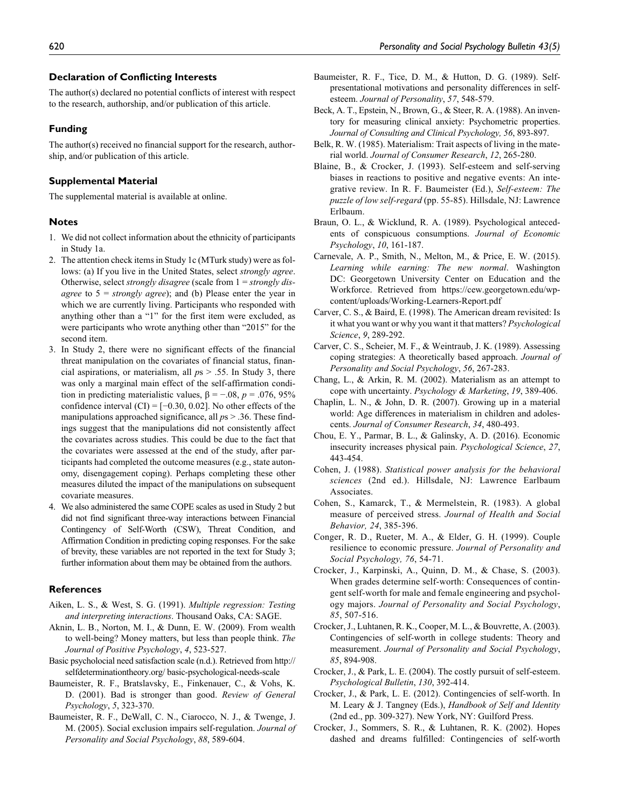#### **Declaration of Conflicting Interests**

The author(s) declared no potential conflicts of interest with respect to the research, authorship, and/or publication of this article.

#### **Funding**

The author(s) received no financial support for the research, authorship, and/or publication of this article.

#### **Supplemental Material**

The supplemental material is available at online.

#### **Notes**

- 1. We did not collect information about the ethnicity of participants in Study 1a.
- 2. The attention check items in Study 1c (MTurk study) were as follows: (a) If you live in the United States, select *strongly agree*. Otherwise, select *strongly disagree* (scale from 1 = *strongly disagree* to 5 = *strongly agree*); and (b) Please enter the year in which we are currently living. Participants who responded with anything other than a "1" for the first item were excluded, as were participants who wrote anything other than "2015" for the second item.
- 3. In Study 2, there were no significant effects of the financial threat manipulation on the covariates of financial status, financial aspirations, or materialism, all *p*s > .55. In Study 3, there was only a marginal main effect of the self-affirmation condition in predicting materialistic values,  $\beta = -.08$ ,  $p = .076$ , 95% confidence interval  $(CI) = [-0.30, 0.02]$ . No other effects of the manipulations approached significance, all *p*s > .36. These findings suggest that the manipulations did not consistently affect the covariates across studies. This could be due to the fact that the covariates were assessed at the end of the study, after participants had completed the outcome measures (e.g., state autonomy, disengagement coping). Perhaps completing these other measures diluted the impact of the manipulations on subsequent covariate measures.
- 4. We also administered the same COPE scales as used in Study 2 but did not find significant three-way interactions between Financial Contingency of Self-Worth (CSW), Threat Condition, and Affirmation Condition in predicting coping responses. For the sake of brevity, these variables are not reported in the text for Study 3; further information about them may be obtained from the authors.

#### **References**

- Aiken, L. S., & West, S. G. (1991). *Multiple regression: Testing and interpreting interactions*. Thousand Oaks, CA: SAGE.
- Aknin, L. B., Norton, M. I., & Dunn, E. W. (2009). From wealth to well-being? Money matters, but less than people think. *The Journal of Positive Psychology*, *4*, 523-527.
- Basic psycholocial need satisfaction scale (n.d.). Retrieved from http:// selfdeterminationtheory.org/ basic-psychological-needs-scale
- Baumeister, R. F., Bratslavsky, E., Finkenauer, C., & Vohs, K. D. (2001). Bad is stronger than good. *Review of General Psychology*, *5*, 323-370.
- Baumeister, R. F., DeWall, C. N., Ciarocco, N. J., & Twenge, J. M. (2005). Social exclusion impairs self-regulation. *Journal of Personality and Social Psychology*, *88*, 589-604.
- Baumeister, R. F., Tice, D. M., & Hutton, D. G. (1989). Selfpresentational motivations and personality differences in selfesteem. *Journal of Personality*, *57*, 548-579.
- Beck, A. T., Epstein, N., Brown, G., & Steer, R. A. (1988). An inventory for measuring clinical anxiety: Psychometric properties. *Journal of Consulting and Clinical Psychology, 56*, 893-897.
- Belk, R. W. (1985). Materialism: Trait aspects of living in the material world. *Journal of Consumer Research*, *12*, 265-280.
- Blaine, B., & Crocker, J. (1993). Self-esteem and self-serving biases in reactions to positive and negative events: An integrative review. In R. F. Baumeister (Ed.), *Self-esteem: The puzzle of low self-regard* (pp. 55-85). Hillsdale, NJ: Lawrence Erlbaum.
- Braun, O. L., & Wicklund, R. A. (1989). Psychological antecedents of conspicuous consumptions. *Journal of Economic Psychology*, *10*, 161-187.
- Carnevale, A. P., Smith, N., Melton, M., & Price, E. W. (2015). *Learning while earning: The new normal*. Washington DC: Georgetown University Center on Education and the Workforce. Retrieved from https://cew.georgetown.edu/wpcontent/uploads/Working-Learners-Report.pdf
- Carver, C. S., & Baird, E. (1998). The American dream revisited: Is it what you want or why you want it that matters? *Psychological Science*, *9*, 289-292.
- Carver, C. S., Scheier, M. F., & Weintraub, J. K. (1989). Assessing coping strategies: A theoretically based approach. *Journal of Personality and Social Psychology*, *56*, 267-283.
- Chang, L., & Arkin, R. M. (2002). Materialism as an attempt to cope with uncertainty. *Psychology & Marketing*, *19*, 389-406.
- Chaplin, L. N., & John, D. R. (2007). Growing up in a material world: Age differences in materialism in children and adolescents. *Journal of Consumer Research*, *34*, 480-493.
- Chou, E. Y., Parmar, B. L., & Galinsky, A. D. (2016). Economic insecurity increases physical pain. *Psychological Science*, *27*, 443-454.
- Cohen, J. (1988). *Statistical power analysis for the behavioral sciences* (2nd ed.). Hillsdale, NJ: Lawrence Earlbaum Associates.
- Cohen, S., Kamarck, T., & Mermelstein, R. (1983). A global measure of perceived stress. *Journal of Health and Social Behavior, 24*, 385-396.
- Conger, R. D., Rueter, M. A., & Elder, G. H. (1999). Couple resilience to economic pressure. *Journal of Personality and Social Psychology, 76*, 54-71.
- Crocker, J., Karpinski, A., Quinn, D. M., & Chase, S. (2003). When grades determine self-worth: Consequences of contingent self-worth for male and female engineering and psychology majors. *Journal of Personality and Social Psychology*, *85*, 507-516.
- Crocker, J., Luhtanen, R. K., Cooper, M. L., & Bouvrette, A. (2003). Contingencies of self-worth in college students: Theory and measurement. *Journal of Personality and Social Psychology*, *85*, 894-908.
- Crocker, J., & Park, L. E. (2004). The costly pursuit of self-esteem. *Psychological Bulletin*, *130*, 392-414.
- Crocker, J., & Park, L. E. (2012). Contingencies of self-worth. In M. Leary & J. Tangney (Eds.), *Handbook of Self and Identity* (2nd ed., pp. 309-327). New York, NY: Guilford Press.
- Crocker, J., Sommers, S. R., & Luhtanen, R. K. (2002). Hopes dashed and dreams fulfilled: Contingencies of self-worth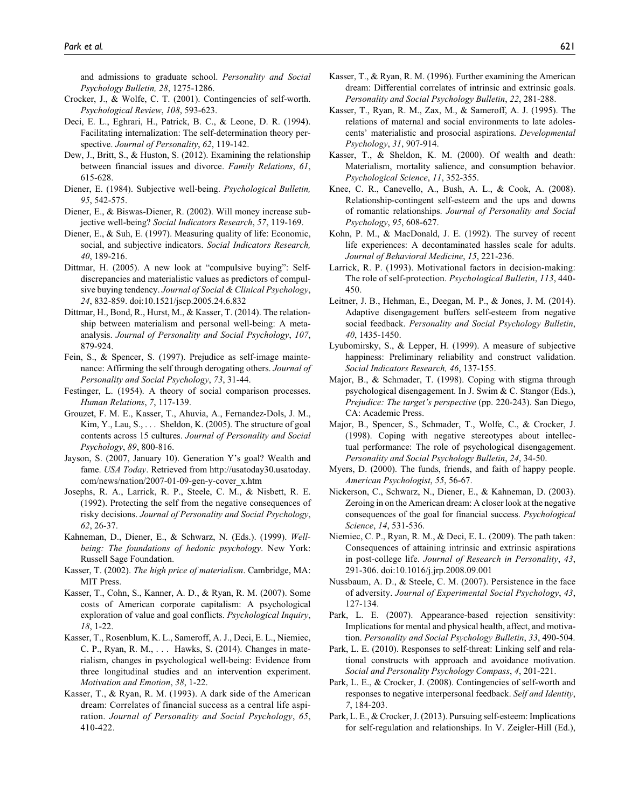and admissions to graduate school. *Personality and Social Psychology Bulletin, 28*, 1275-1286.

- Crocker, J., & Wolfe, C. T. (2001). Contingencies of self-worth. *Psychological Review*, *108*, 593-623.
- Deci, E. L., Eghrari, H., Patrick, B. C., & Leone, D. R. (1994). Facilitating internalization: The self-determination theory perspective. *Journal of Personality*, *62*, 119-142.
- Dew, J., Britt, S., & Huston, S. (2012). Examining the relationship between financial issues and divorce. *Family Relations*, *61*, 615-628.
- Diener, E. (1984). Subjective well-being. *Psychological Bulletin, 95*, 542-575.
- Diener, E., & Biswas-Diener, R. (2002). Will money increase subjective well-being? *Social Indicators Research*, *57*, 119-169.
- Diener, E., & Suh, E. (1997). Measuring quality of life: Economic, social, and subjective indicators. *Social Indicators Research, 40*, 189-216.
- Dittmar, H. (2005). A new look at "compulsive buying": Selfdiscrepancies and materialistic values as predictors of compulsive buying tendency. *Journal of Social & Clinical Psychology*, *24*, 832-859. doi:10.1521/jscp.2005.24.6.832
- Dittmar, H., Bond, R., Hurst, M., & Kasser, T. (2014). The relationship between materialism and personal well-being: A metaanalysis. *Journal of Personality and Social Psychology*, *107*, 879-924.
- Fein, S., & Spencer, S. (1997). Prejudice as self-image maintenance: Affirming the self through derogating others. *Journal of Personality and Social Psychology*, *73*, 31-44.
- Festinger, L. (1954). A theory of social comparison processes. *Human Relations*, *7*, 117-139.
- Grouzet, F. M. E., Kasser, T., Ahuvia, A., Fernandez-Dols, J. M., Kim, Y., Lau, S., . . . Sheldon, K. (2005). The structure of goal contents across 15 cultures. *Journal of Personality and Social Psychology*, *89*, 800-816.
- Jayson, S. (2007, January 10). Generation Y's goal? Wealth and fame. *USA Today*. Retrieved from [http://usatoday30.usatoday.](http://usatoday30.usatoday.com/news/nation/2007-01-09-gen-y-cover_x.htm) [com/news/nation/2007-01-09-gen-y-cover\\_x.htm](http://usatoday30.usatoday.com/news/nation/2007-01-09-gen-y-cover_x.htm)
- Josephs, R. A., Larrick, R. P., Steele, C. M., & Nisbett, R. E. (1992). Protecting the self from the negative consequences of risky decisions. *Journal of Personality and Social Psychology*, *62*, 26-37.
- Kahneman, D., Diener, E., & Schwarz, N. (Eds.). (1999). *Wellbeing: The foundations of hedonic psychology*. New York: Russell Sage Foundation.
- Kasser, T. (2002). *The high price of materialism*. Cambridge, MA: MIT Press.
- Kasser, T., Cohn, S., Kanner, A. D., & Ryan, R. M. (2007). Some costs of American corporate capitalism: A psychological exploration of value and goal conflicts. *Psychological Inquiry*, *18*, 1-22.
- Kasser, T., Rosenblum, K. L., Sameroff, A. J., Deci, E. L., Niemiec, C. P., Ryan, R. M., . . . Hawks, S. (2014). Changes in materialism, changes in psychological well-being: Evidence from three longitudinal studies and an intervention experiment. *Motivation and Emotion*, *38*, 1-22.
- Kasser, T., & Ryan, R. M. (1993). A dark side of the American dream: Correlates of financial success as a central life aspiration. *Journal of Personality and Social Psychology*, *65*, 410-422.
- Kasser, T., & Ryan, R. M. (1996). Further examining the American dream: Differential correlates of intrinsic and extrinsic goals. *Personality and Social Psychology Bulletin*, *22*, 281-288.
- Kasser, T., Ryan, R. M., Zax, M., & Sameroff, A. J. (1995). The relations of maternal and social environments to late adolescents' materialistic and prosocial aspirations. *Developmental Psychology*, *31*, 907-914.
- Kasser, T., & Sheldon, K. M. (2000). Of wealth and death: Materialism, mortality salience, and consumption behavior. *Psychological Science*, *11*, 352-355.
- Knee, C. R., Canevello, A., Bush, A. L., & Cook, A. (2008). Relationship-contingent self-esteem and the ups and downs of romantic relationships. *Journal of Personality and Social Psychology*, *95*, 608-627.
- Kohn, P. M., & MacDonald, J. E. (1992). The survey of recent life experiences: A decontaminated hassles scale for adults. *Journal of Behavioral Medicine*, *15*, 221-236.
- Larrick, R. P. (1993). Motivational factors in decision-making: The role of self-protection. *Psychological Bulletin*, *113*, 440- 450.
- Leitner, J. B., Hehman, E., Deegan, M. P., & Jones, J. M. (2014). Adaptive disengagement buffers self-esteem from negative social feedback. *Personality and Social Psychology Bulletin*, *40*, 1435-1450.
- Lyubomirsky, S., & Lepper, H. (1999). A measure of subjective happiness: Preliminary reliability and construct validation. *Social Indicators Research, 46*, 137-155.
- Major, B., & Schmader, T. (1998). Coping with stigma through psychological disengagement. In J. Swim & C. Stangor (Eds.), *Prejudice: The target's perspective* (pp. 220-243). San Diego, CA: Academic Press.
- Major, B., Spencer, S., Schmader, T., Wolfe, C., & Crocker, J. (1998). Coping with negative stereotypes about intellectual performance: The role of psychological disengagement. *Personality and Social Psychology Bulletin*, *24*, 34-50.
- Myers, D. (2000). The funds, friends, and faith of happy people. *American Psychologist*, *55*, 56-67.
- Nickerson, C., Schwarz, N., Diener, E., & Kahneman, D. (2003). Zeroing in on the American dream: A closer look at the negative consequences of the goal for financial success. *Psychological Science*, *14*, 531-536.
- Niemiec, C. P., Ryan, R. M., & Deci, E. L. (2009). The path taken: Consequences of attaining intrinsic and extrinsic aspirations in post-college life. *Journal of Research in Personality*, *43*, 291-306. doi:10.1016/j.jrp.2008.09.001
- Nussbaum, A. D., & Steele, C. M. (2007). Persistence in the face of adversity. *Journal of Experimental Social Psychology*, *43*, 127-134.
- Park, L. E. (2007). Appearance-based rejection sensitivity: Implications for mental and physical health, affect, and motivation. *Personality and Social Psychology Bulletin*, *33*, 490-504.
- Park, L. E. (2010). Responses to self-threat: Linking self and relational constructs with approach and avoidance motivation. *Social and Personality Psychology Compass*, *4*, 201-221.
- Park, L. E., & Crocker, J. (2008). Contingencies of self-worth and responses to negative interpersonal feedback. *Self and Identity*, *7*, 184-203.
- Park, L. E., & Crocker, J. (2013). Pursuing self-esteem: Implications for self-regulation and relationships. In V. Zeigler-Hill (Ed.),